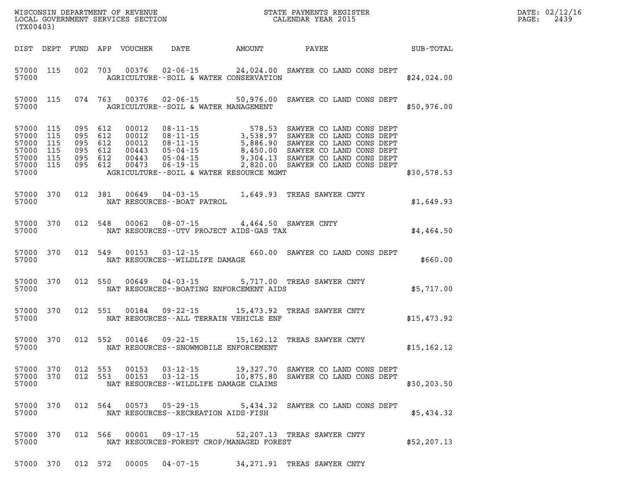| (TX00403)                                                                       |                   |                                                                |         |                                          |                                                                                | WISCONSIN DEPARTMENT OF REVENUE<br>LOCAL GOVERNMENT SERVICES SECTION FOR THE STATE PAYMENTS REGISTER<br>(TWO0403)                                                                                                                          |              | DATE: 02/12/16<br>PAGE: 2439 |
|---------------------------------------------------------------------------------|-------------------|----------------------------------------------------------------|---------|------------------------------------------|--------------------------------------------------------------------------------|--------------------------------------------------------------------------------------------------------------------------------------------------------------------------------------------------------------------------------------------|--------------|------------------------------|
| DIST DEPT                                                                       |                   |                                                                |         |                                          |                                                                                | FUND APP VOUCHER DATE AMOUNT PAYEE                                                                                                                                                                                                         | SUB-TOTAL    |                              |
| 57000                                                                           |                   |                                                                |         |                                          | AGRICULTURE--SOIL & WATER CONSERVATION                                         | 57000 115 002 703 00376 02-06-15 24,024.00 SAWYER CO LAND CONS DEPT                                                                                                                                                                        | \$24,024.00  |                              |
| 57000                                                                           |                   |                                                                |         | AGRICULTURE--SOIL & WATER MANAGEMENT     |                                                                                | 57000 115 074 763 00376 02-06-15 50,976.00 SAWYER CO LAND CONS DEPT                                                                                                                                                                        | \$50,976.00  |                              |
| 57000 115<br>57000 115<br>57000 115<br>57000<br>57000 115<br>57000 115<br>57000 | 115               | 095 612<br>095 612<br>095 612<br>095 612<br>095 612<br>095 612 |         |                                          | AGRICULTURE--SOIL & WATER RESOURCE MGMT                                        | 00012 08-11-15 578.53 SAWYER CO LAND CONS DEPT<br>00012 08-11-15 3,538.97 SAWYER CO LAND CONS DEPT<br>00012 08-11-15 5,886.90 SAWYER CO LAND CONS DEPT<br>00443 05-04-15 8,450.00 SAWYER CO LAND CONS DEPT<br>00443 05-04-15 9,304.13 SAWY | \$30,578.53  |                              |
| 57000                                                                           | 57000 370 012 381 |                                                                |         | NAT RESOURCES - - BOAT PATROL            |                                                                                | 00649  04-03-15  1,649.93  TREAS SAWYER CNTY                                                                                                                                                                                               | \$1,649.93   |                              |
| 57000                                                                           | 57000 370 012 548 |                                                                |         |                                          | 00062 08-07-15 4,464.50 SAWYER CNTY<br>NAT RESOURCES--UTV PROJECT AIDS-GAS TAX |                                                                                                                                                                                                                                            | \$4,464.50   |                              |
| 57000                                                                           | 57000 370         |                                                                | 012 549 | NAT RESOURCES - WILDLIFE DAMAGE          |                                                                                | 00153 03-12-15 660.00 SAWYER CO LAND CONS DEPT                                                                                                                                                                                             | \$660.00     |                              |
| 57000                                                                           | 57000 370         |                                                                | 012 550 |                                          |                                                                                | 00649  04-03-15  5,717.00  TREAS SAWYER CNTY<br>NAT RESOURCES--BOATING ENFORCEMENT AIDS                                                                                                                                                    | \$5,717.00   |                              |
| 57000                                                                           | 57000 370         |                                                                | 012 551 |                                          | NAT RESOURCES--ALL TERRAIN VEHICLE ENF                                         | 00184  09-22-15  15,473.92  TREAS SAWYER CNTY                                                                                                                                                                                              | \$15,473.92  |                              |
| 57000                                                                           | 57000 370         |                                                                | 012 552 |                                          | NAT RESOURCES - - SNOWMOBILE ENFORCEMENT                                       | 00146  09-22-15  15,162.12  TREAS SAWYER CNTY                                                                                                                                                                                              | \$15, 162.12 |                              |
| 57000                                                                           |                   |                                                                |         | NAT RESOURCES--WILDLIFE DAMAGE CLAIMS    |                                                                                | 57000 370 012 553 00153 03-12-15 19,327.70 SAWYER CO LAND CONS DEPT<br>57000 370 012 553 00153 03-12-15 10,875.80 SAWYER CO LAND CONS DEPT                                                                                                 | \$30, 203.50 |                              |
| 57000 370<br>57000                                                              |                   |                                                                |         | NAT RESOURCES - - RECREATION AIDS - FISH |                                                                                | 012 564 00573 05-29-15 5,434.32 SAWYER CO LAND CONS DEPT                                                                                                                                                                                   | \$5,434.32   |                              |
| 57000 370<br>57000                                                              |                   |                                                                |         |                                          | NAT RESOURCES-FOREST CROP/MANAGED FOREST                                       | 012 566 00001 09-17-15 52,207.13 TREAS SAWYER CNTY                                                                                                                                                                                         | \$52, 207.13 |                              |

**57000 370 012 572 00005 04-07-15 34,271.91 TREAS SAWYER CNTY**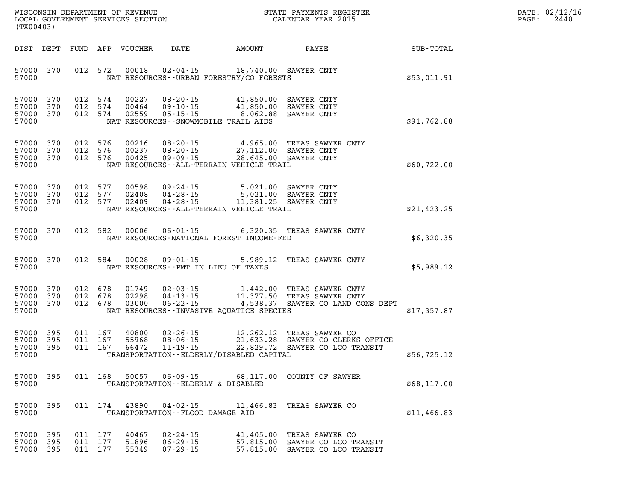| DATE: | 02/12/16 |
|-------|----------|
| PAGE: | 2440     |

| (TX00403)                                    |     |                               | LOCAL GOVERNMENT SERVICES SECTION |                                                      |                                                                                                                                                                                     | CALENDAR YEAR 2015                                                                                                                                                  |             | PAGE: | 2440 |
|----------------------------------------------|-----|-------------------------------|-----------------------------------|------------------------------------------------------|-------------------------------------------------------------------------------------------------------------------------------------------------------------------------------------|---------------------------------------------------------------------------------------------------------------------------------------------------------------------|-------------|-------|------|
|                                              |     |                               | DIST DEPT FUND APP VOUCHER        |                                                      |                                                                                                                                                                                     | DATE AMOUNT PAYEE SUB-TOTAL                                                                                                                                         |             |       |      |
| 57000 370<br>57000                           |     |                               | 012 572 00018                     |                                                      | 02-04-15 18,740.00 SAWYER CNTY<br>NAT RESOURCES - - URBAN FORESTRY/CO FORESTS                                                                                                       |                                                                                                                                                                     | \$53,011.91 |       |      |
| 57000 370<br>57000 370<br>57000 370<br>57000 |     |                               |                                   |                                                      | 012 574 00227 08-20-15 41,850.00 SAWYER CNTY<br>012 574 00464 09-10-15 41,850.00 SAWYER CNTY<br>012 574 02559 05-15-15 8,062.88 SAWYER CNTY<br>NAT RESOURCES--SNOWMOBILE TRAIL AIDS |                                                                                                                                                                     | \$91,762.88 |       |      |
| 57000 370<br>57000 370<br>57000 370<br>57000 |     | 012 576<br>012 576<br>012 576 | 00216<br>00237<br>00425           | 08-20-15                                             | NAT RESOURCES - - ALL - TERRAIN VEHICLE TRAIL                                                                                                                                       | 08-20-15 4,965.00 TREAS SAWYER CNTY<br>08-20-15 27,112.00 SAWYER CNTY<br>09-09-15 28,645.00 SAWYER CNTY                                                             | \$60,722.00 |       |      |
| 57000 370<br>57000 370<br>57000 370<br>57000 |     | 012 577<br>012 577            | 012 577 02409                     |                                                      | 00598  09-24-15  5,021.00  SAWYER CNTY<br>02408  04-28-15  5,021.00  SAWYER CNTY<br>02409  04-28-15  11,381.25  SAWYER CNTY<br>NAT RESOURCES--ALL-TERRAIN VEHICLE TRAIL             |                                                                                                                                                                     | \$21,423.25 |       |      |
| 57000 370<br>57000                           |     |                               |                                   |                                                      | NAT RESOURCES-NATIONAL FOREST INCOME-FED                                                                                                                                            | 012 582 00006 06-01-15 6,320.35 TREAS SAWYER CNTY                                                                                                                   | \$6,320.35  |       |      |
| 57000 370<br>57000                           |     |                               |                                   |                                                      | NAT RESOURCES -- PMT IN LIEU OF TAXES                                                                                                                                               | 012 584 00028 09-01-15 5,989.12 TREAS SAWYER CNTY                                                                                                                   | \$5,989.12  |       |      |
| 57000<br>57000 370<br>57000 370<br>57000     | 370 |                               |                                   |                                                      | NAT RESOURCES--INVASIVE AQUATICE SPECIES                                                                                                                                            | 012 678 01749 02-03-15 1,442.00 TREAS SAWYER CNTY<br>012 678 02298 04-13-15 11,377.50 TREAS SAWYER CNTY<br>012 678 03000 06-22-15 4,538.37 SAWYER CO LAND CONS DEPT | \$17,357.87 |       |      |
| 57000 395<br>57000 395<br>57000 395<br>57000 |     | 011 167<br>011 167<br>011 167 |                                   |                                                      | TRANSPORTATION - ELDERLY/DISABLED CAPITAL                                                                                                                                           | 40800 02-26-15 12,262.12 TREAS SAWYER CO<br>55968 08-06-15 21,633.28 SAWYER CO CLERKS OFFICE<br>66472 11-19-15 22,829.72 SAWYER CO LCO TRANSIT                      | \$56,725.12 |       |      |
| 57000 395<br>57000                           |     | 011 168                       | 50057                             | $06 - 09 - 15$<br>TRANSPORTATION--ELDERLY & DISABLED |                                                                                                                                                                                     | 68,117.00 COUNTY OF SAWYER                                                                                                                                          | \$68,117.00 |       |      |
| 57000<br>57000                               | 395 | 011 174                       | 43890                             | $04 - 02 - 15$<br>TRANSPORTATION--FLOOD DAMAGE AID   |                                                                                                                                                                                     | 11,466.83 TREAS SAWYER CO                                                                                                                                           | \$11,466.83 |       |      |
| 57000<br>57000 395<br>57000 395              | 395 | 011 177<br>011 177<br>011 177 | 40467<br>51896<br>55349           | $02 - 24 - 15$<br>$06 - 29 - 15$<br>$07 - 29 - 15$   | 41,405.00                                                                                                                                                                           | TREAS SAWYER CO<br>57,815.00 SAWYER CO LCO TRANSIT<br>57,815.00 SAWYER CO LCO TRANSIT                                                                               |             |       |      |

WISCONSIN DEPARTMENT OF REVENUE **STATE PAYMENTS REGISTER**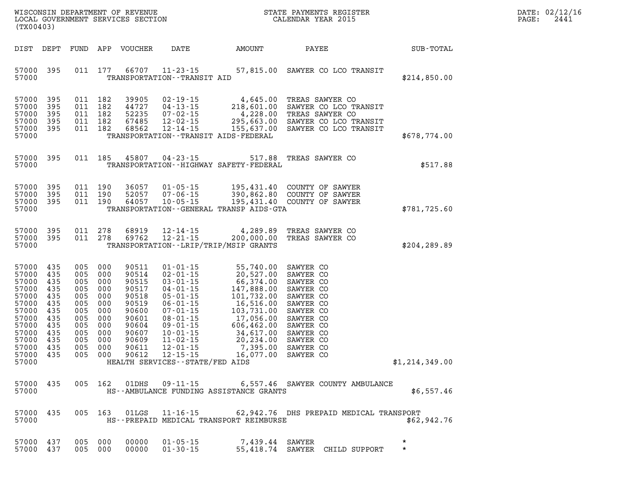| WISCONSIN DEPARTMENT OF REVENUE<br>LOCAL GOVERNMENT SERVICES SECTION<br>(TX00403)                                          |                                                                                         |                                                                                         |                                                                                         |                                                                                                                   |                                                                                                                                                                                                                                                                             |                                                                                                                                                                                                                 | STATE PAYMENTS REGIS'<br>CALENDAR YEAR 2015<br>STATE PAYMENTS REGISTER                                                                                                |                    | DATE: 02/12/16<br>PAGE:<br>2441 |
|----------------------------------------------------------------------------------------------------------------------------|-----------------------------------------------------------------------------------------|-----------------------------------------------------------------------------------------|-----------------------------------------------------------------------------------------|-------------------------------------------------------------------------------------------------------------------|-----------------------------------------------------------------------------------------------------------------------------------------------------------------------------------------------------------------------------------------------------------------------------|-----------------------------------------------------------------------------------------------------------------------------------------------------------------------------------------------------------------|-----------------------------------------------------------------------------------------------------------------------------------------------------------------------|--------------------|---------------------------------|
| DIST DEPT                                                                                                                  |                                                                                         | FUND                                                                                    | APP                                                                                     | VOUCHER                                                                                                           | DATE                                                                                                                                                                                                                                                                        | AMOUNT                                                                                                                                                                                                          | PAYEE                                                                                                                                                                 | SUB-TOTAL          |                                 |
| 57000<br>57000                                                                                                             | 395                                                                                     |                                                                                         | 011 177                                                                                 |                                                                                                                   | 66707 11-23-15<br>TRANSPORTATION - - TRANSIT AID                                                                                                                                                                                                                            |                                                                                                                                                                                                                 | 57,815.00 SAWYER CO LCO TRANSIT                                                                                                                                       | \$214,850.00       |                                 |
| 57000<br>57000<br>57000<br>57000<br>57000<br>57000                                                                         | 395<br>395<br>395<br>395<br>395                                                         | 011<br>011<br>011<br>011<br>011 182                                                     | 182<br>182<br>182<br>182                                                                | 39905<br>44727<br>52235<br>67485<br>68562                                                                         | $02 - 19 - 15$<br>$04 - 13 - 15$<br>$07 - 02 - 15$<br>$12 - 02 - 15$<br>$12 - 14 - 15$                                                                                                                                                                                      | 4,645.00<br>218,601.00<br>4,228.00<br>295,663.00<br>255,637.00<br>TRANSPORTATION - - TRANSIT AIDS - FEDERAL                                                                                                     | TREAS SAWYER CO<br>SAWYER CO LCO TRANSIT<br>TREAS SAWYER CO<br>SAWYER CO LCO TRANSIT<br>SAWYER CO LCO TRANSIT                                                         | \$678,774.00       |                                 |
| 57000<br>57000                                                                                                             | 395                                                                                     |                                                                                         | 011 185                                                                                 | 45807                                                                                                             | 04-23-15                                                                                                                                                                                                                                                                    | 517.88<br>TRANSPORTATION - - HIGHWAY SAFETY - FEDERAL                                                                                                                                                           | TREAS SAWYER CO                                                                                                                                                       | \$517.88           |                                 |
| 57000<br>57000<br>57000<br>57000                                                                                           | 395<br>395<br>395                                                                       | 011 190<br>011<br>011 190                                                               | 190                                                                                     | 36057<br>52057<br>64057                                                                                           | $01 - 05 - 15$<br>$07 - 06 - 15$<br>$10 - 05 - 15$                                                                                                                                                                                                                          | 195,431.40<br>390,862.80<br>TRANSPORTATION - - GENERAL TRANSP AIDS - GTA                                                                                                                                        | COUNTY OF SAWYER<br>COUNTY OF SAWYER<br>195,431.40 COUNTY OF SAWYER                                                                                                   | \$781,725.60       |                                 |
| 57000<br>57000<br>57000                                                                                                    | 395<br>395                                                                              | 011 278<br>011 278                                                                      |                                                                                         | 68919<br>69762                                                                                                    | 12-14-15<br>$12 - 21 - 15$                                                                                                                                                                                                                                                  | 4,289.89<br>200,000.00<br>TRANSPORTATION - - LRIP/TRIP/MSIP GRANTS                                                                                                                                              | TREAS SAWYER CO<br>TREAS SAWYER CO                                                                                                                                    | \$204,289.89       |                                 |
| 57000<br>57000<br>57000<br>57000<br>57000<br>57000<br>57000<br>57000<br>57000<br>57000<br>57000<br>57000<br>57000<br>57000 | 435<br>435<br>435<br>435<br>435<br>435<br>435<br>435<br>435<br>435<br>435<br>435<br>435 | 005<br>005<br>005<br>005<br>005<br>005<br>005<br>005<br>005<br>005<br>005<br>005<br>005 | 000<br>000<br>000<br>000<br>000<br>000<br>000<br>000<br>000<br>000<br>000<br>000<br>000 | 90511<br>90514<br>90515<br>90517<br>90518<br>90519<br>90600<br>90601<br>90604<br>90607<br>90609<br>90611<br>90612 | $01 - 01 - 15$<br>$02 - 01 - 15$<br>$03 - 01 - 15$<br>$04 - 01 - 15$<br>$05 - 01 - 15$<br>$06 - 01 - 15$<br>$07 - 01 - 15$<br>$08 - 01 - 15$<br>$09 - 01 - 15$<br>$10 - 01 - 15$<br>$11 - 02 - 15$<br>$12 - 01 - 15$<br>$12 - 15 - 15$<br>HEALTH SERVICES -- STATE/FED AIDS | 55,740.00<br>20,527.00<br>66,374.00<br>147,888.00<br>101,732.00<br>16,516.00<br>103,731.00<br>$103, 72 -$<br>17,056.00<br>$600, 402.$ 34, 617.00<br>00. 234.00<br>$20, 23$<br>7, 395.00<br>10. דרח<br>16,077.00 | SAWYER CO<br>SAWYER CO<br>SAWYER CO<br>SAWYER CO<br>SAWYER CO<br>SAWYER CO<br>SAWYER CO<br>SAWYER CO<br>SAWYER CO<br>SAWYER CO<br>SAWYER CO<br>SAWYER CO<br>SAWYER CO | \$1,214,349.00     |                                 |
| 57000                                                                                                                      | 57000 435                                                                               |                                                                                         |                                                                                         |                                                                                                                   |                                                                                                                                                                                                                                                                             | HS--AMBULANCE FUNDING ASSISTANCE GRANTS                                                                                                                                                                         | 005  162  01DHS  09-11-15  6,557.46  SAWYER COUNTY AMBULANCE                                                                                                          | \$6,557.46         |                                 |
| 57000 435<br>57000                                                                                                         |                                                                                         |                                                                                         |                                                                                         |                                                                                                                   |                                                                                                                                                                                                                                                                             | HS--PREPAID MEDICAL TRANSPORT REIMBURSE                                                                                                                                                                         | 005 163 01LGS 11-16-15 62,942.76 DHS PREPAID MEDICAL TRANSPORT                                                                                                        | \$62,942.76        |                                 |
| 57000 437                                                                                                                  | 57000 437                                                                               | 005 000<br>005 000                                                                      |                                                                                         | 00000                                                                                                             | $01 - 05 - 15$<br>00000 01-30-15                                                                                                                                                                                                                                            |                                                                                                                                                                                                                 | 7,439.44 SAWYER<br>55,418.74 SAWYER CHILD SUPPORT                                                                                                                     | $\star$<br>$\star$ |                                 |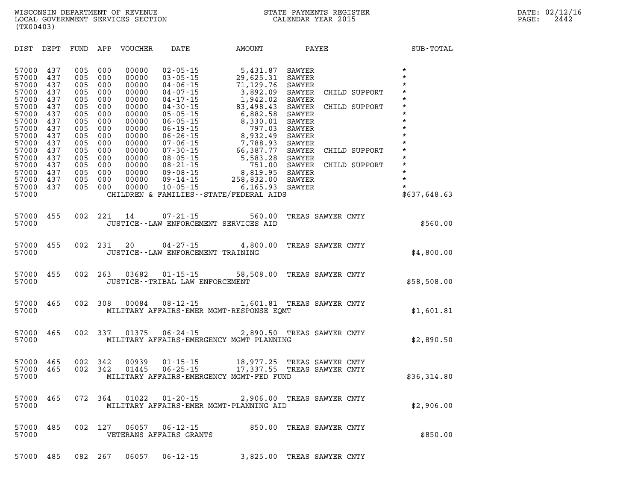**DIST DEPT FUND APP VOUCHER DATE AMOUNT PAYEE SUB-TOTAL 57000 437 005 000 00000 02-05-15 5,431.87 SAWYER \* 57000 437 005 000 00000 03-05-15 29,625.31 SAWYER \* 57000 437 005 000 00000 04-06-15 71,129.76 SAWYER \* 57000 437 005 000 00000 04-07-15 3,892.09 SAWYER CHILD SUPPORT \* 57000 437 005 000 00000 04-17-15 1,942.02 SAWYER \* 57000 437 005 000 00000 04-30-15 83,498.43 SAWYER CHILD SUPPORT \* 57000 437 005 000 00000 05-05-15 6,882.58 SAWYER \* 57000 437 005 000 00000 06-05-15 8,330.01 SAWYER \* 57000 437 005 000 00000 06-19-15 797.03 SAWYER \* 57000 437 005 000 00000 06-26-15 8,932.49 SAWYER \* 57000 437 005 000 00000 07-06-15 7,788.93 SAWYER \* 57000 437 005 000 00000 07-30-15 66,387.77 SAWYER CHILD SUPPORT \* 57000 437 005 000 00000 08-05-15 5,583.28 SAWYER \* 57000 437 005 000 00000 08-21-15 751.00 SAWYER CHILD SUPPORT \* 57000 437 005 000 00000 09-08-15 8,819.95 SAWYER \* 57000 437 005 000 00000 09-14-15 258,832.00 SAWYER \* 57000 437 005 000 00000 10-05-15 6,165.93 SAWYER \* 57000 CHILDREN & FAMILIES--STATE/FEDERAL AIDS \$637,648.63 57000 455 002 221 14 07-21-15 560.00 TREAS SAWYER CNTY 57000 JUSTICE--LAW ENFORCEMENT SERVICES AID \$560.00 57000 455 002 231 20 04-27-15 4,800.00 TREAS SAWYER CNTY 57000 JUSTICE--LAW ENFORCEMENT TRAINING \$4,800.00 57000 455 002 263 03682 01-15-15 58,508.00 TREAS SAWYER CNTY 57000 JUSTICE--TRIBAL LAW ENFORCEMENT \$58,508.00 57000 465 002 308 00084 08-12-15 1,601.81 TREAS SAWYER CNTY 57000 MILITARY AFFAIRS-EMER MGMT-RESPONSE EQMT \$1,601.81 57000 465 002 337 01375 06-24-15 2,890.50 TREAS SAWYER CNTY 57000 MILITARY AFFAIRS-EMERGENCY MGMT PLANNING \$2,890.50 57000 465 002 342 00939 01-15-15 18,977.25 TREAS SAWYER CNTY 57000 465 002 342 01445 06-25-15 17,337.55 TREAS SAWYER CNTY 57000 MILITARY AFFAIRS-EMERGENCY MGMT-FED FUND \$36,314.80 57000 465 072 364 01022 01-20-15 2,906.00 TREAS SAWYER CNTY 57000 MILITARY AFFAIRS-EMER MGMT-PLANNING AID \$2,906.00** 

**57000 485 002 127 06057 06-12-15 850.00 TREAS SAWYER CNTY 57000 VETERANS AFFAIRS GRANTS \$850.00** 

**57000 485 082 267 06057 06-12-15 3,825.00 TREAS SAWYER CNTY**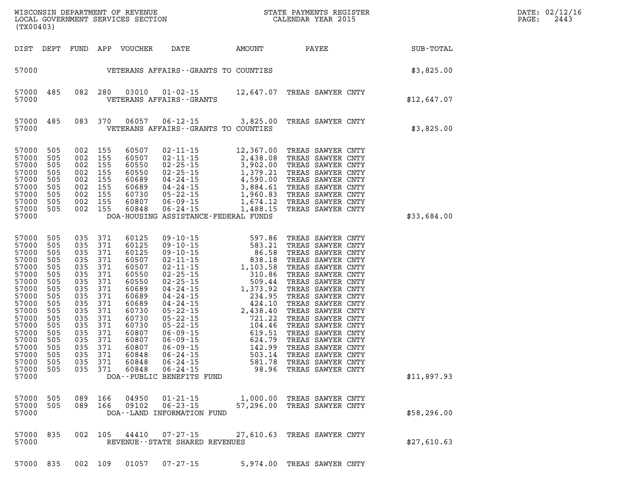|  |  | 57000 835 002 109 01057 07-27-15 | 5,974.00 TREAS SAWYER CNTY |  |  |
|--|--|----------------------------------|----------------------------|--|--|

| 57000 835 002 105<br>57000 |  |  | 44410 07-27-15<br>REVENUE--STATE SHARED REVENUES | 27,610.63 TREAS SAWYER CNTY | \$27,610.63 |
|----------------------------|--|--|--------------------------------------------------|-----------------------------|-------------|

| 57000 505 |     |     | 089 166 04950 01-21-15     | 1,000.00 TREAS SAWYER CNTY  |  |             |
|-----------|-----|-----|----------------------------|-----------------------------|--|-------------|
| 57000 505 | 089 | 166 |                            | 57,296.00 TREAS SAWYER CNTY |  |             |
| 57000     |     |     | DOA--LAND INFORMATION FUND |                             |  | \$58,296.00 |

| 57000<br>57000<br>57000<br>57000<br>57000 | 505<br>505<br>505<br>505 | 002<br>002<br>002<br>002 | 155<br>155<br>155<br>155 | 60689<br>60730<br>60807<br>60848 | 04-24-15                  | 3,884.61<br>05-22-15 1,960.83 TREAS SAWYER CNTY<br>06-09-15 1,674.12 TREAS SAWYER CNTY<br>06-24-15 1,488.15 TREAS SAWYER CNTY<br>DOA-HOUSING ASSISTANCE-FEDERAL FUNDS | TREAS SAWYER CNTY                      | \$33,684.00 |
|-------------------------------------------|--------------------------|--------------------------|--------------------------|----------------------------------|---------------------------|-----------------------------------------------------------------------------------------------------------------------------------------------------------------------|----------------------------------------|-------------|
| 57000                                     | 505                      | 035                      | 371                      | 60125                            |                           | $09 - 10 - 15$ 597.86                                                                                                                                                 | TREAS SAWYER CNTY                      |             |
| 57000                                     | 505                      | 035                      | 371                      | 60125                            |                           | 09 - 10 - 15 583.21                                                                                                                                                   | TREAS SAWYER CNTY                      |             |
| 57000                                     | 505                      | 035                      | 371                      | 60125                            |                           | $09 - 10 - 15$ 86.58                                                                                                                                                  | TREAS SAWYER CNTY                      |             |
| 57000                                     | 505                      | 035                      | 371                      | 60507                            |                           | $02 - 11 - 15$ 838.18                                                                                                                                                 | TREAS SAWYER CNTY                      |             |
| 57000                                     | 505                      | 035                      | 371                      | 60507                            |                           | $02 - 11 - 15$ 1, 103.58                                                                                                                                              | TREAS SAWYER CNTY                      |             |
| 57000                                     | 505                      | 035                      | 371                      | 60550                            |                           | $02 - 25 - 15$ 310.86                                                                                                                                                 | TREAS SAWYER CNTY                      |             |
| 57000                                     | 505                      | 035                      | 371                      | 60550                            |                           | 02-25-15<br>04-24-15<br>04-24-15<br>04-24-15<br>234.95                                                                                                                | TREAS SAWYER CNTY                      |             |
| 57000                                     | 505                      | 035                      | 371                      | 60689                            |                           |                                                                                                                                                                       | TREAS SAWYER CNTY                      |             |
| 57000                                     | 505                      | 035                      | 371                      | 60689                            |                           |                                                                                                                                                                       | TREAS SAWYER CNTY                      |             |
| 57000                                     | 505                      | 035                      | 371                      | 60689                            |                           | $04 - 24 - 15$ 424.10                                                                                                                                                 | TREAS SAWYER CNTY                      |             |
| 57000                                     | 505                      | 035                      | 371                      | 60730                            |                           | $05 - 22 - 15$ 2,438.40                                                                                                                                               | TREAS SAWYER CNTY                      |             |
| 57000                                     | 505                      | 035                      | 371                      | 60730                            |                           | $05 - 22 - 15$ 721.22<br>$05 - 22 - 15$ 104.46                                                                                                                        | TREAS SAWYER CNTY                      |             |
| 57000<br>57000                            | 505<br>505               | 035<br>035               | 371<br>371               | 60730<br>60807                   |                           | $06 - 09 - 15$ 619.51                                                                                                                                                 | TREAS SAWYER CNTY<br>TREAS SAWYER CNTY |             |
| 57000                                     | 505                      | 035                      | 371                      | 60807                            |                           | $06 - 09 - 15$ 624.79                                                                                                                                                 | TREAS SAWYER CNTY                      |             |
| 57000                                     | 505                      | 035                      | 371                      | 60807                            |                           | $06 - 09 - 15$<br>142.99                                                                                                                                              | TREAS SAWYER CNTY                      |             |
| 57000                                     | 505                      | 035                      | 371                      | 60848                            |                           | $06 - 24 - 15$ 503.14                                                                                                                                                 | TREAS SAWYER CNTY                      |             |
| 57000                                     | 505                      | 035                      | 371                      | 60848                            |                           | $06 - 24 - 15$<br>581.78                                                                                                                                              | TREAS SAWYER CNTY                      |             |
| 57000                                     | 505                      | 035                      | 371                      | 60848                            |                           | $06 - 24 - 15$ 98.96                                                                                                                                                  | TREAS SAWYER CNTY                      |             |
| 57000                                     |                          |                          |                          |                                  | DOA--PUBLIC BENEFITS FUND |                                                                                                                                                                       |                                        | \$11,897.93 |
|                                           |                          |                          |                          |                                  |                           |                                                                                                                                                                       |                                        |             |

| 57000<br>57000                                                                         | 485                                                         | 082                                                         | 280                                                         | 03010                                                                                        | $01 - 02 - 15$<br>VETERANS AFFAIRS - - GRANTS                                                                                                                                  | 12,647.07                                                                                                 |                                                                               | TREAS SAWYER CNTY                                                                                          |                                      | \$12,647.07 |
|----------------------------------------------------------------------------------------|-------------------------------------------------------------|-------------------------------------------------------------|-------------------------------------------------------------|----------------------------------------------------------------------------------------------|--------------------------------------------------------------------------------------------------------------------------------------------------------------------------------|-----------------------------------------------------------------------------------------------------------|-------------------------------------------------------------------------------|------------------------------------------------------------------------------------------------------------|--------------------------------------|-------------|
| 57000<br>57000                                                                         | 485                                                         | 083                                                         | 370                                                         | 06057                                                                                        | $06 - 12 - 15$<br>VETERANS AFFAIRS--GRANTS TO                                                                                                                                  | 3,825.00<br>COUNTIES                                                                                      |                                                                               | TREAS SAWYER CNTY                                                                                          |                                      | \$3,825.00  |
| 57000<br>57000<br>57000<br>57000<br>57000<br>57000<br>57000<br>57000<br>57000<br>57000 | 505<br>505<br>505<br>505<br>505<br>505<br>505<br>505<br>505 | 002<br>002<br>002<br>002<br>002<br>002<br>002<br>002<br>002 | 155<br>155<br>155<br>155<br>155<br>155<br>155<br>155<br>155 | 60507<br>60507<br>60550<br>60550<br>60689<br>60689<br>60730<br>60807<br>60848<br>DOA-HOUSING | $02 - 11 - 15$<br>$02 - 11 - 15$<br>$02 - 25 - 15$<br>$02 - 25 - 15$<br>04-24-15<br>04-24-15<br>$05 - 22 - 15$<br>$06 - 09 - 15$<br>$06 - 24 - 15$<br>ASSISTANCE-FEDERAL FUNDS | 12,367.00<br>2,438.08<br>3,902.00<br>1,379.21<br>4,590.00<br>3,884.61<br>1,960.83<br>1,674.12<br>1,488.15 | TREAS<br>TREAS<br>TREAS<br>TREAS<br>TREAS<br>TREAS<br>TREAS<br>TREAS<br>TREAS | SAWYER<br>SAWYER<br>SAWYER<br>SAWYER CNTY<br>SAWYER CNTY<br>SAWYER CNTY<br>SAWYER<br>SAWYER<br>SAWYER CNTY | CNTY<br>CNTY<br>CNTY<br>CNTY<br>CNTY | \$33,684.00 |

| 57000          |     |         |                                      |                | VETERANS AFFAIRS - - GRANTS TO COUNTIES |  | \$3,825.00  |
|----------------|-----|---------|--------------------------------------|----------------|-----------------------------------------|--|-------------|
| 57000<br>57000 | 485 | 082 280 | 03010<br>VETERANS AFFAIRS - - GRANTS | $01 - 02 - 15$ | 12,647.07 TREAS SAWYER CNTY             |  | \$12,647.07 |

DIST DEPT FUND APP VOUCHER DATE AMOUNT PAYEE **PAYEE** SUB-TOTAL

LOCAL GOVERNMENT SERVICES SECTION

**(TX00403)**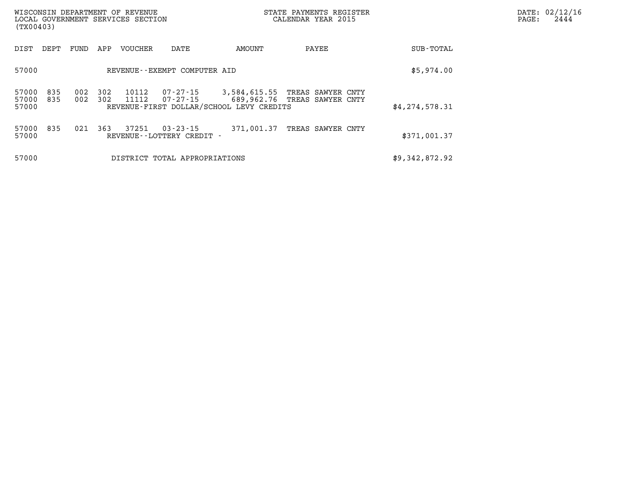| (TX00403)               |            |            |            | WISCONSIN DEPARTMENT OF REVENUE<br>LOCAL GOVERNMENT SERVICES SECTION |                                                |                                                          | STATE PAYMENTS REGISTER<br>CALENDAR YEAR 2015     |                | DATE: 02/12/16<br>2444<br>PAGE: |
|-------------------------|------------|------------|------------|----------------------------------------------------------------------|------------------------------------------------|----------------------------------------------------------|---------------------------------------------------|----------------|---------------------------------|
| DIST                    | DEPT       | FUND       | APP        | VOUCHER                                                              | DATE                                           | AMOUNT                                                   | PAYEE                                             | SUB-TOTAL      |                                 |
| 57000                   |            |            |            |                                                                      | REVENUE--EXEMPT COMPUTER AID                   |                                                          |                                                   | \$5,974.00     |                                 |
| 57000<br>57000<br>57000 | 835<br>835 | 002<br>002 | 302<br>302 | 10112<br>11112                                                       | 07-27-15<br>07-27-15                           | 3,584,615.55<br>REVENUE-FIRST DOLLAR/SCHOOL LEVY CREDITS | TREAS SAWYER CNTY<br>689,962.76 TREAS SAWYER CNTY | \$4,274,578.31 |                                 |
| 57000<br>57000          | 835        | 021        | 363        | 37251                                                                | $03 - 23 - 15$<br>REVENUE - - LOTTERY CREDIT - | 371,001.37                                               | TREAS SAWYER CNTY                                 | \$371,001.37   |                                 |
| 57000                   |            |            |            |                                                                      | DISTRICT TOTAL APPROPRIATIONS                  |                                                          |                                                   | \$9,342,872.92 |                                 |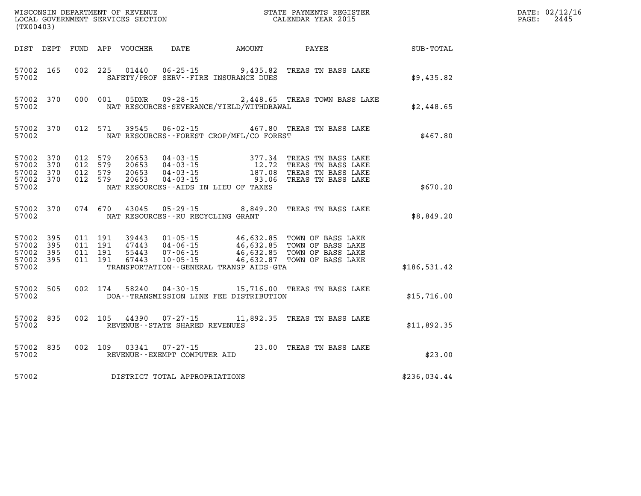|                                                           | (TX00403) |                                                    |                                          |  |                                                                  |                                              |                                                                                                                                                                                                  |              | DATE: 02/12/16<br>2445<br>$\mathtt{PAGE:}$ |
|-----------------------------------------------------------|-----------|----------------------------------------------------|------------------------------------------|--|------------------------------------------------------------------|----------------------------------------------|--------------------------------------------------------------------------------------------------------------------------------------------------------------------------------------------------|--------------|--------------------------------------------|
|                                                           |           |                                                    |                                          |  |                                                                  | DIST DEPT FUND APP VOUCHER DATE AMOUNT PAYEE |                                                                                                                                                                                                  | SUB-TOTAL    |                                            |
| 57002                                                     | 57002 165 |                                                    |                                          |  |                                                                  | SAFETY/PROF SERV--FIRE INSURANCE DUES        | 002 225 01440 06-25-15 9,435.82 TREAS TN BASS LAKE                                                                                                                                               | \$9,435.82   |                                            |
| 57002                                                     | 57002 370 |                                                    |                                          |  |                                                                  | NAT RESOURCES-SEVERANCE/YIELD/WITHDRAWAL     | 000 001 05DNR 09-28-15 2,448.65 TREAS TOWN BASS LAKE                                                                                                                                             | \$2,448.65   |                                            |
| 57002                                                     |           |                                                    |                                          |  |                                                                  | NAT RESOURCES--FOREST CROP/MFL/CO FOREST     | 57002 370 012 571 39545 06-02-15 467.80 TREAS TN BASS LAKE                                                                                                                                       | \$467.80     |                                            |
| 57002 370<br>57002 370<br>57002                           | 57002 370 | 57002 370 012 579<br>012 579<br>012 579<br>012 579 |                                          |  |                                                                  | NAT RESOURCES--AIDS IN LIEU OF TAXES         | 20653  04-03-15  377.34  TREAS TN BASS LAKE<br>20653  04-03-15  12.72  TREAS TN BASS LAKE<br>20653  04-03-15  187.08  TREAS TN BASS LAKE<br>20653  04-03-15  93.06  TREAS TN BASS LAKE           | \$670.20     |                                            |
| 57002                                                     |           |                                                    |                                          |  | NAT RESOURCES--RU RECYCLING GRANT                                |                                              | 57002 370 074 670 43045 05-29-15 8,849.20 TREAS TN BASS LAKE                                                                                                                                     | \$8,849.20   |                                            |
| 57002 395<br>57002 395<br>57002 395<br>57002 395<br>57002 |           |                                                    | 011 191<br>011 191<br>011 191<br>011 191 |  |                                                                  | TRANSPORTATION - - GENERAL TRANSP AIDS - GTA | 39443  01-05-15  46,632.85  TOWN OF BASS LAKE<br>47443  04-06-15  46,632.85  TOWN OF BASS LAKE<br>55443  07-06-15  46,632.85  TOWN OF BASS LAKE<br>67443  10-05-15  46,632.87  TOWN OF BASS LAKE | \$186,531.42 |                                            |
| 57002                                                     | 57002 505 |                                                    |                                          |  |                                                                  | DOA--TRANSMISSION LINE FEE DISTRIBUTION      | 002 174 58240 04-30-15 15,716.00 TREAS TN BASS LAKE                                                                                                                                              | \$15,716.00  |                                            |
| 57002                                                     | 57002 835 |                                                    |                                          |  | REVENUE - - STATE SHARED REVENUES                                |                                              | 002 105 44390 07-27-15 11,892.35 TREAS TN BASS LAKE                                                                                                                                              | \$11,892.35  |                                            |
| 57002                                                     |           |                                                    |                                          |  | 57002 835 002 109 03341 07-27-15<br>REVENUE--EXEMPT COMPUTER AID |                                              | 23.00 TREAS TN BASS LAKE                                                                                                                                                                         | \$23.00      |                                            |
| 57002                                                     |           |                                                    |                                          |  | DISTRICT TOTAL APPROPRIATIONS                                    |                                              |                                                                                                                                                                                                  | \$236,034.44 |                                            |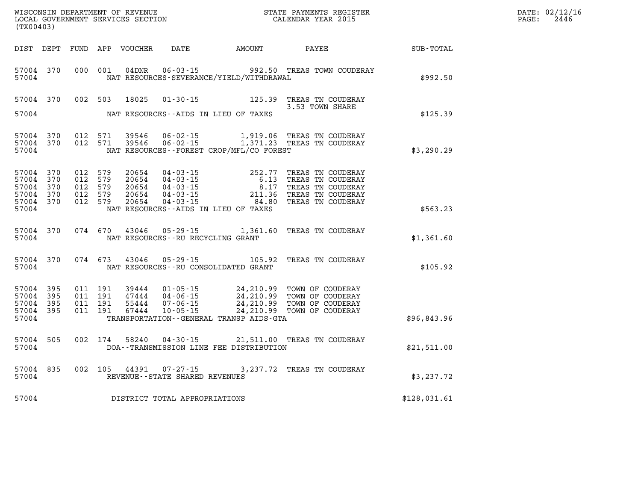| % WISCONSIN DEPARTMENT OF REVENUE<br>$$\tt STATE$ PAYMENTS REGISTER LOCAL GOVERNMENT SERVICES SECTION<br>$$\tt CALENDAR$ YEAR 2015<br>(TX00403) |                                            |                                                     |  |                         |                                   |                                            |                                                                                                                                                                                                                              |                                                              | DATE: 02/12/16<br>PAGE: 2446 |
|-------------------------------------------------------------------------------------------------------------------------------------------------|--------------------------------------------|-----------------------------------------------------|--|-------------------------|-----------------------------------|--------------------------------------------|------------------------------------------------------------------------------------------------------------------------------------------------------------------------------------------------------------------------------|--------------------------------------------------------------|------------------------------|
|                                                                                                                                                 |                                            |                                                     |  |                         |                                   |                                            |                                                                                                                                                                                                                              | DIST DEPT FUND APP VOUCHER DATE AMOUNT PAYEE PAYEE SUB-TOTAL |                              |
|                                                                                                                                                 | 57004                                      |                                                     |  |                         |                                   | NAT RESOURCES-SEVERANCE/YIELD/WITHDRAWAL   | 57004 370 000 001 04DNR 06-03-15 992.50 TREAS TOWN COUDERAY                                                                                                                                                                  | \$992.50                                                     |                              |
|                                                                                                                                                 |                                            |                                                     |  | 57004 370 002 503 18025 |                                   | 57004 NAT RESOURCES--AIDS IN LIEU OF TAXES | 01-30-15 125.39 TREAS TN COUDERAY<br>3.53 TOWN SHARE                                                                                                                                                                         | \$125.39                                                     |                              |
| 57004                                                                                                                                           |                                            |                                                     |  |                         |                                   | NAT RESOURCES - FOREST CROP/MFL/CO FOREST  | $\begin{array}{cccccc} 57004 & 370 & 012 & 571 & 39546 & 06\cdot 02\cdot 15 & 1,919.06 & \text{TREAS TN COUDERAY} \\ 57004 & 370 & 012 & 571 & 39546 & 06\cdot 02\cdot 15 & 1,371.23 & \text{TREAS TN COUDERAY} \end{array}$ | \$3,290.29                                                   |                              |
| 57004 370<br>57004<br>57004                                                                                                                     | 57004 370<br>370<br>57004 370<br>57004 370 | 012 579<br>012 579<br>012 579<br>012 579<br>012 579 |  |                         |                                   | NAT RESOURCES--AIDS IN LIEU OF TAXES       |                                                                                                                                                                                                                              | \$563.23                                                     |                              |
|                                                                                                                                                 |                                            |                                                     |  |                         |                                   | 57004 NAT RESOURCES--RU RECYCLING GRANT    | 57004 370 074 670 43046 05-29-15 1,361.60 TREAS TN COUDERAY                                                                                                                                                                  | \$1,361.60                                                   |                              |
| 57004                                                                                                                                           |                                            |                                                     |  |                         |                                   | NAT RESOURCES--RU CONSOLIDATED GRANT       | 57004 370 074 673 43046 05-29-15 105.92 TREAS TN COUDERAY                                                                                                                                                                    | \$105.92                                                     |                              |
| 57004 395<br>57004 395<br>57004 395<br>57004 395<br>57004                                                                                       |                                            | 011 191<br>011 191<br>011 191<br>011 191            |  |                         |                                   | TRANSPORTATION--GENERAL TRANSP AIDS-GTA    | 39444  01-05-15  24, 210.99  TOWN OF COUDERAY<br>47444  04-06-15  24, 210.99  TOWN OF COUDERAY<br>55444  07-06-15  24, 210.99  TOWN OF COUDERAY<br>67444  10-05-15  24, 210.99  TOWN OF COUDERAY                             | \$96,843.96                                                  |                              |
| 57004                                                                                                                                           | 57004 505                                  |                                                     |  |                         |                                   | DOA--TRANSMISSION LINE FEE DISTRIBUTION    | 002 174 58240 04-30-15 21,511.00 TREAS TN COUDERAY                                                                                                                                                                           | \$21,511.00                                                  |                              |
| 57004                                                                                                                                           | 57004 835                                  |                                                     |  |                         | REVENUE - - STATE SHARED REVENUES |                                            | 002 105 44391 07-27-15 3,237.72 TREAS TN COUDERAY                                                                                                                                                                            | \$3,237.72                                                   |                              |
| 57004                                                                                                                                           |                                            |                                                     |  |                         | DISTRICT TOTAL APPROPRIATIONS     |                                            |                                                                                                                                                                                                                              | \$128,031.61                                                 |                              |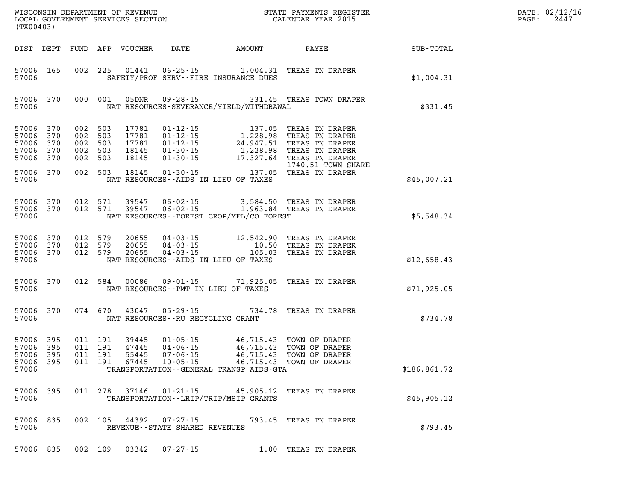|                                                       | WISCONSIN DEPARTMENT OF REVENUE<br>LOCAL GOVERNMENT SERVICES SECTION FOR THE STATE PAYMENTS REGISTER<br>(TX00403)<br>(TX00403) |                                                     |  |                            |                                   |                                              |                                                                                                                                                                                                                                                                |              | DATE: 02/12/16<br>PAGE: 2447 |
|-------------------------------------------------------|--------------------------------------------------------------------------------------------------------------------------------|-----------------------------------------------------|--|----------------------------|-----------------------------------|----------------------------------------------|----------------------------------------------------------------------------------------------------------------------------------------------------------------------------------------------------------------------------------------------------------------|--------------|------------------------------|
|                                                       |                                                                                                                                |                                                     |  | DIST DEPT FUND APP VOUCHER |                                   |                                              | DATE AMOUNT PAYEE                                                                                                                                                                                                                                              | SUB-TOTAL    |                              |
| 57006                                                 | 57006 165                                                                                                                      |                                                     |  |                            |                                   | SAFETY/PROF SERV--FIRE INSURANCE DUES        | 002 225 01441 06-25-15 1,004.31 TREAS TN DRAPER                                                                                                                                                                                                                | \$1,004.31   |                              |
| 57006                                                 |                                                                                                                                |                                                     |  | 57006 370 000 001 05DNR    |                                   | NAT RESOURCES-SEVERANCE/YIELD/WITHDRAWAL     | 09-28-15 331.45 TREAS TOWN DRAPER                                                                                                                                                                                                                              | \$331.45     |                              |
| 57006<br>57006<br>57006<br>57006                      | 57006 370<br>370<br>370<br>370<br>370                                                                                          | 002 503<br>002 503<br>002 503<br>002 503<br>002 503 |  |                            |                                   |                                              | 17781  01-12-15  137.05  TREAS TN DRAPER<br>17781  01-12-15  1,228.98  TREAS TN DRAPER<br>17781  01-12-15  24,947.51  TREAS TN DRAPER<br>18145  01-30-15  1,228.98  TREAS TN DRAPER<br>18145  01-30-15  17,327.64  TREAS TN DRAPER<br>18<br>1740.51 TOWN SHARE |              |                              |
| 57006 370<br>57006                                    |                                                                                                                                | 002 503                                             |  |                            |                                   | NAT RESOURCES--AIDS IN LIEU OF TAXES         |                                                                                                                                                                                                                                                                | \$45,007.21  |                              |
| 57006                                                 |                                                                                                                                |                                                     |  |                            |                                   | NAT RESOURCES - FOREST CROP/MFL/CO FOREST    | $\begin{array}{cccccc} 57006 & 370 & 012 & 571 & 39547 & 06\cdot 02\cdot 15 & 3,584.50 & \text{TREAS TN DRAPER} \\ 57006 & 370 & 012 & 571 & 39547 & 06\cdot 02\cdot 15 & 1,963.84 & \text{TREAS TN DRAPER} \end{array}$                                       | \$5,548.34   |                              |
| 57006                                                 | 57006 370                                                                                                                      | 57006 370 012 579<br>57006 370 012 579<br>012 579   |  |                            |                                   | NAT RESOURCES--AIDS IN LIEU OF TAXES         | 20655  04-03-15  12,542.90 TREAS TN DRAPER<br>20655  04-03-15  10.50 TREAS TN DRAPER<br>20655  04-03-15  105.03 TREAS TN DRAPER                                                                                                                                | \$12,658.43  |                              |
| 57006                                                 | 57006 370                                                                                                                      |                                                     |  |                            |                                   | NAT RESOURCES -- PMT IN LIEU OF TAXES        | 012 584 00086 09-01-15 71,925.05 TREAS TN DRAPER                                                                                                                                                                                                               | \$71,925.05  |                              |
| 57006                                                 | 57006 370                                                                                                                      |                                                     |  |                            | NAT RESOURCES--RU RECYCLING GRANT |                                              | 074 670 43047 05-29-15 734.78 TREAS TN DRAPER                                                                                                                                                                                                                  | \$734.78     |                              |
| 57006 395<br>57006 395<br>57006 395<br>57006<br>57006 | 395                                                                                                                            | 011 191<br>011 191<br>011 191<br>011 191            |  |                            |                                   | TRANSPORTATION - - GENERAL TRANSP AIDS - GTA | 46,715.43 TOWN OF DRAPER<br>47445 04-06-15 46,715.43 TOWN OF DRAPER<br>55445 07-06-15 46,715.43 TOWN OF DRAPER<br>67445 10-05-15 - 46,715.43 TOWN OF DRAPER                                                                                                    | \$186,861.72 |                              |
| 57006                                                 |                                                                                                                                |                                                     |  |                            |                                   | TRANSPORTATION - - LRIP/TRIP/MSIP GRANTS     | 57006 395 011 278 37146 01-21-15 45,905.12 TREAS TN DRAPER                                                                                                                                                                                                     | \$45,905.12  |                              |
| 57006                                                 |                                                                                                                                |                                                     |  |                            | REVENUE--STATE SHARED REVENUES    |                                              | 57006 835 002 105 44392 07-27-15 793.45 TREAS TN DRAPER                                                                                                                                                                                                        | \$793.45     |                              |
|                                                       |                                                                                                                                |                                                     |  |                            |                                   |                                              | 57006 835 002 109 03342 07-27-15 1.00 TREAS TN DRAPER                                                                                                                                                                                                          |              |                              |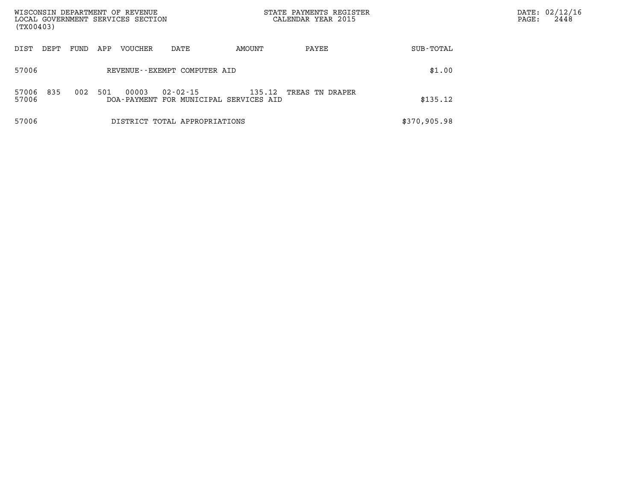| (TX00403)      |      |      |     | WISCONSIN DEPARTMENT OF REVENUE<br>LOCAL GOVERNMENT SERVICES SECTION |                                                    |        | STATE PAYMENTS REGISTER<br>CALENDAR YEAR 2015 |              | DATE: 02/12/16<br>2448<br>PAGE: |
|----------------|------|------|-----|----------------------------------------------------------------------|----------------------------------------------------|--------|-----------------------------------------------|--------------|---------------------------------|
| DIST           | DEPT | FUND | APP | <b>VOUCHER</b>                                                       | DATE                                               | AMOUNT | PAYEE                                         | SUB-TOTAL    |                                 |
| 57006          |      |      |     |                                                                      | REVENUE--EXEMPT COMPUTER AID                       |        |                                               | \$1.00       |                                 |
| 57006<br>57006 | 835  | 002  | 501 | 00003                                                                | 02-02-15<br>DOA-PAYMENT FOR MUNICIPAL SERVICES AID | 135.12 | TREAS TN DRAPER                               | \$135.12     |                                 |
| 57006          |      |      |     |                                                                      | DISTRICT TOTAL APPROPRIATIONS                      |        |                                               | \$370,905.98 |                                 |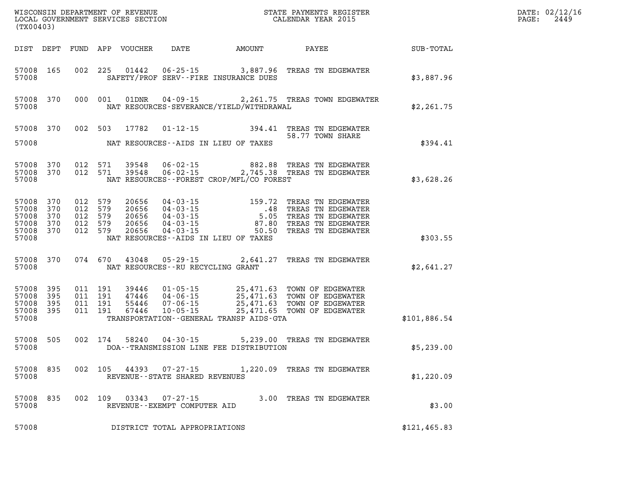| DATE: | 02/12/16 |
|-------|----------|
| PAGE: | 2449     |

| (TX00403)                                             |                  |  |         |       |                                                   |                                                                                                                                                                                                                                                                                                                                                       |  |                         |               | DATE: 02/12/1<br>2449<br>$\mathtt{PAGE}$ : |
|-------------------------------------------------------|------------------|--|---------|-------|---------------------------------------------------|-------------------------------------------------------------------------------------------------------------------------------------------------------------------------------------------------------------------------------------------------------------------------------------------------------------------------------------------------------|--|-------------------------|---------------|--------------------------------------------|
|                                                       |                  |  |         |       |                                                   |                                                                                                                                                                                                                                                                                                                                                       |  |                         |               |                                            |
| 57008                                                 | 57008 165        |  |         |       |                                                   | 002 225 01442 06-25-15 3,887.96 TREAS TN EDGEWATER<br>SAFETY/PROF SERV--FIRE INSURANCE DUES                                                                                                                                                                                                                                                           |  |                         | \$3,887.96    |                                            |
| 57008                                                 | 57008 370        |  |         |       |                                                   | 000 001 01DNR 04-09-15 2,261.75 TREAS TOWN EDGEWATER<br>NAT RESOURCES-SEVERANCE/YIELD/WITHDRAWAL                                                                                                                                                                                                                                                      |  |                         | \$2,261.75    |                                            |
|                                                       |                  |  |         |       |                                                   | 57008 370 002 503 17782 01-12-15 394.41 TREAS TN EDGEWATER<br>58.77 TOWN SHARE                                                                                                                                                                                                                                                                        |  | 58.77 TOWN SHARE        |               |                                            |
| 57008                                                 |                  |  |         |       |                                                   | NAT RESOURCES--AIDS IN LIEU OF TAXES                                                                                                                                                                                                                                                                                                                  |  |                         | \$394.41      |                                            |
| 57008 370<br>57008 370<br>57008                       |                  |  |         |       |                                                   | 012 571 39548 06-02-15 882.88 TREAS TN EDGEWATER<br>012 571 39548 06-02-15 2,745.38 TREAS TN EDGEWATER<br>NAT RESOURCES - FOREST CROP/MFL/CO FOREST                                                                                                                                                                                                   |  |                         | \$3,628.26    |                                            |
| 57008<br>57008 370<br>57008 370<br>57008 370<br>57008 | 57008 370<br>370 |  |         |       |                                                   | 012 579 20656 04-03-15 159.72 TREAS TN EDGEWATER<br>012 579 20656 04-03-15 .48 TREAS TN EDGEWATER<br>012 579 20656 04-03-15 5.05 TREAS TN EDGEWATER<br>012 579 20656 04-03-15 87.80 TREAS TN EDGEWATER<br>012 579 20656 04-03-15 50.50<br>NAT RESOURCES--AIDS IN LIEU OF TAXES                                                                        |  |                         | \$303.55      |                                            |
| 57008                                                 |                  |  |         |       |                                                   | 57008 370 074 670 43048 05-29-15 2,641.27 TREAS TN EDGEWATER<br>NAT RESOURCES--RU RECYCLING GRANT                                                                                                                                                                                                                                                     |  |                         | \$2,641.27    |                                            |
| 57008<br>57008 395<br>57008 395<br>57008              | 57008 395<br>395 |  |         |       |                                                   | $\begin{tabular}{cccc} 011 & 191 & 39446 & 01-05-15 & 25,471.63 & TOWN OF EDGEWATER \\ 011 & 191 & 47446 & 04-06-15 & 25,471.63 & TOWN OF EDGEWATER \\ 011 & 191 & 55446 & 07-06-15 & 25,471.63 & TOWN OF EDGEWATER \\ 011 & 191 & 67446 & 10-05-15 & 25,471.65 & TOWN OF EDGEWATER \\ \end{tabular}$<br>TRANSPORTATION - - GENERAL TRANSP AIDS - GTA |  |                         | \$101,886.54  |                                            |
| 57008                                                 | 57008 505        |  |         |       |                                                   | 002 174 58240 04-30-15 5,239.00 TREAS TN EDGEWATER<br>DOA--TRANSMISSION LINE FEE DISTRIBUTION                                                                                                                                                                                                                                                         |  |                         | \$5,239.00    |                                            |
| 57008                                                 |                  |  |         |       | REVENUE - - STATE SHARED REVENUES                 | 57008 835 002 105 44393 07-27-15 1.220.09 TREAS TN EDGEWATER                                                                                                                                                                                                                                                                                          |  |                         | \$1,220.09    |                                            |
| 57008<br>57008                                        | 835              |  | 002 109 | 03343 | $07 - 27 - 15$<br>REVENUE - - EXEMPT COMPUTER AID |                                                                                                                                                                                                                                                                                                                                                       |  | 3.00 TREAS TN EDGEWATER | \$3.00        |                                            |
| 57008                                                 |                  |  |         |       | DISTRICT TOTAL APPROPRIATIONS                     |                                                                                                                                                                                                                                                                                                                                                       |  |                         | \$121, 465.83 |                                            |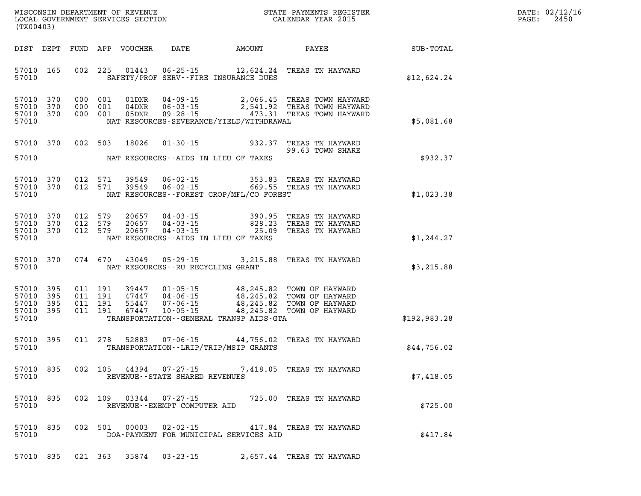| DATE:            | 02/12/16 |
|------------------|----------|
| $\texttt{PAGE:}$ | 2450     |

| (TX00403) |                                                  |                   |  |                            |                                   |                                                                                                                                                                                                                                                         |                         |               | DATE: 02/12/1<br>2450<br>PAGE: |
|-----------|--------------------------------------------------|-------------------|--|----------------------------|-----------------------------------|---------------------------------------------------------------------------------------------------------------------------------------------------------------------------------------------------------------------------------------------------------|-------------------------|---------------|--------------------------------|
|           |                                                  |                   |  | DIST DEPT FUND APP VOUCHER |                                   | DATE AMOUNT PAYEE SUB-TOTAL                                                                                                                                                                                                                             |                         |               |                                |
| 57010     | 57010 165                                        |                   |  |                            |                                   | 002 225 01443 06-25-15 12,624.24 TREAS TN HAYWARD<br>SAFETY/PROF SERV--FIRE INSURANCE DUES                                                                                                                                                              |                         | \$12,624.24   |                                |
| 57010     | 57010 370<br>57010 370<br>57010 370              |                   |  |                            |                                   | 000 001 01DNR 04-09-15 2,066.45 TREAS TOWN HAYWARD<br>000 001 04DNR 06-03-15 2,541.92 TREAS TOWN HAYWARD<br>000 001 05DNR 09-28-15 473.31 TREAS TOWN HAYWARD<br>NAT RESOURCES-SEVERANCE/YIELD/WITHDRAWAL                                                |                         | \$5,081.68    |                                |
|           | 57010 370                                        |                   |  | 002 503 18026              |                                   | 01-30-15 932.37 TREAS TN HAYWARD                                                                                                                                                                                                                        | 99.63 TOWN SHARE        |               |                                |
| 57010     |                                                  |                   |  |                            |                                   | NAT RESOURCES--AIDS IN LIEU OF TAXES                                                                                                                                                                                                                    |                         | \$932.37      |                                |
| 57010     | 57010 370<br>57010 370                           |                   |  |                            |                                   | 012 571 39549 06-02-15 353.83 TREAS TN HAYWARD<br>012 571 39549 06-02-15 669.55 TREAS TN HAYWARD<br>NAT RESOURCES - - FOREST CROP/MFL/CO FOREST                                                                                                         |                         | \$1,023.38    |                                |
| 57010     | 57010 370<br>57010 370<br>57010 370              |                   |  |                            |                                   | 012 579 20657 04-03-15 390.95 TREAS TN HAYWARD<br>012 579 20657 04-03-15 828.23 TREAS TN HAYWARD<br>012 579 20657 04-03-15 25.09 TREAS TN HAYWARD<br>NAT RESOURCES--AIDS IN LIEU OF TAXES                                                               |                         | \$1,244.27    |                                |
| 57010     | 57010 370                                        |                   |  |                            | NAT RESOURCES--RU RECYCLING GRANT | 074 670 43049 05-29-15 3,215.88 TREAS TN HAYWARD                                                                                                                                                                                                        |                         | \$3,215.88    |                                |
| 57010     | 57010 395<br>57010 395<br>57010 395<br>57010 395 |                   |  |                            |                                   | 011 191 39447 01-05-15 48,245.82 TOWN OF HAYWARD<br>011 191 47447 04-06-15 48,245.82 TOWN OF HAYWARD<br>011 191 67447 10-05-15 48,245.82 TOWN OF HAYWARD<br>011 191 67447 10-05-15 48,245.82 TOWN OF HAYWARD<br>TRANSPORTATION--GENERAL TRANSP AIDS-GTA |                         | \$192, 983.28 |                                |
| 57010     | 57010 395                                        |                   |  |                            |                                   | 011 278 52883 07-06-15 44,756.02 TREAS TN HAYWARD<br>TRANSPORTATION - - LRIP/TRIP/MSIP GRANTS                                                                                                                                                           |                         | \$44,756.02   |                                |
| 57010     |                                                  | 57010 835 002 105 |  |                            | REVENUE--STATE SHARED REVENUES    | 44394 07-27-15 7,418.05 TREAS TN HAYWARD                                                                                                                                                                                                                |                         | \$7,418.05    |                                |
| 57010     | 57010 835                                        |                   |  |                            | REVENUE--EXEMPT COMPUTER AID      | 002 109 03344 07-27-15 725.00 TREAS TN HAYWARD                                                                                                                                                                                                          |                         | \$725.00      |                                |
| 57010     | 57010 835                                        |                   |  |                            | 002 501 00003 02-02-15            | DOA-PAYMENT FOR MUNICIPAL SERVICES AID                                                                                                                                                                                                                  | 417.84 TREAS TN HAYWARD | \$417.84      |                                |
|           |                                                  |                   |  |                            |                                   | 57010 835 021 363 35874 03-23-15 2,657.44 TREAS TN HAYWARD                                                                                                                                                                                              |                         |               |                                |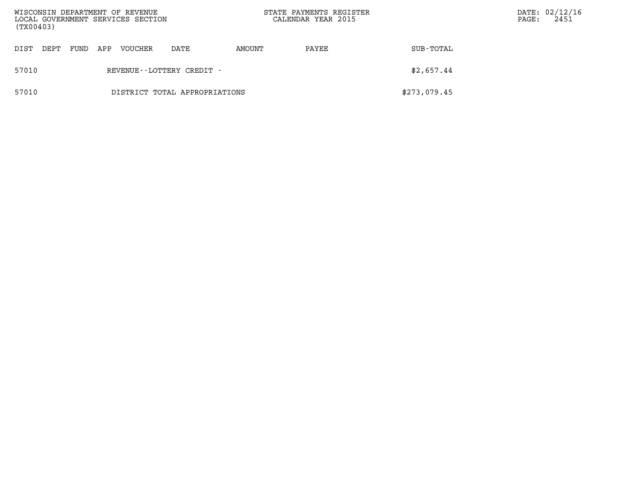| (TX00403) |      |      |     | WISCONSIN DEPARTMENT OF REVENUE<br>LOCAL GOVERNMENT SERVICES SECTION |                               | STATE PAYMENTS REGISTER<br>CALENDAR YEAR 2015 |       |              | PAGE: | DATE: 02/12/16<br>2451 |
|-----------|------|------|-----|----------------------------------------------------------------------|-------------------------------|-----------------------------------------------|-------|--------------|-------|------------------------|
| DIST      | DEPT | FUND | APP | VOUCHER                                                              | DATE                          | AMOUNT                                        | PAYEE | SUB-TOTAL    |       |                        |
| 57010     |      |      |     |                                                                      | REVENUE - - LOTTERY CREDIT -  |                                               |       | \$2,657.44   |       |                        |
| 57010     |      |      |     |                                                                      | DISTRICT TOTAL APPROPRIATIONS |                                               |       | \$273,079.45 |       |                        |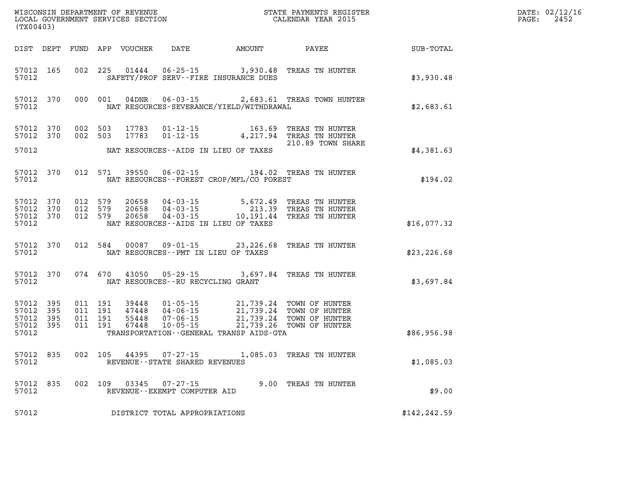| (TX00403)                                         |            |                                          |         | WISCONSIN DEPARTMENT OF REVENUE<br>LOCAL GOVERNMENT SERVICES SECTION |                                                |                                                                                   | STATE PAYMENTS REGISTER<br>CALENDAR YEAR 2015                                         |               | DATE: 02/12/16<br>$\mathtt{PAGE}$ :<br>2452 |
|---------------------------------------------------|------------|------------------------------------------|---------|----------------------------------------------------------------------|------------------------------------------------|-----------------------------------------------------------------------------------|---------------------------------------------------------------------------------------|---------------|---------------------------------------------|
|                                                   |            |                                          |         | DIST DEPT FUND APP VOUCHER                                           |                                                | DATE AMOUNT                                                                       | <b>PAYEE</b>                                                                          | SUB-TOTAL     |                                             |
| 57012 165<br>57012                                |            | 002 225                                  |         | 01444                                                                |                                                | 06-25-15 3,930.48<br>SAFETY/PROF SERV--FIRE INSURANCE DUES                        | TREAS TN HUNTER                                                                       | \$3,930.48    |                                             |
| 57012                                             | 57012 370  |                                          | 000 001 | 04DNR                                                                | $06 - 03 - 15$                                 | NAT RESOURCES-SEVERANCE/YIELD/WITHDRAWAL                                          | 2,683.61 TREAS TOWN HUNTER                                                            | \$2,683.61    |                                             |
| 57012 370                                         | 57012 370  | 002 503<br>002 503                       |         | 17783<br>17783                                                       | $01 - 12 - 15$<br>$01 - 12 - 15$               |                                                                                   | 163.69 TREAS TN HUNTER<br>4, 217.94 TREAS TN HUNTER<br>210.89 TOWN SHARE              |               |                                             |
| 57012                                             |            |                                          |         |                                                                      |                                                | NAT RESOURCES--AIDS IN LIEU OF TAXES                                              |                                                                                       | \$4,381.63    |                                             |
| 57012                                             | 57012 370  |                                          | 012 571 | 39550                                                                |                                                | NAT RESOURCES - - FOREST CROP/MFL/CO FOREST                                       | 06-02-15 194.02 TREAS TN HUNTER                                                       | \$194.02      |                                             |
| 57012<br>57012 370<br>57012 370<br>57012          | 370        | 012 579<br>012 579<br>012 579            |         | 20658<br>20658<br>20658                                              | 04 - 03 - 15<br>04 - 03 - 15                   | 5,672.49<br>NAT RESOURCES--AIDS IN LIEU OF TAXES                                  | TREAS TN HUNTER<br>213.39 TREAS TN HUNTER<br>04-03-15 10,191.44 TREAS TN HUNTER       | \$16,077.32   |                                             |
| 57012                                             | 57012 370  | 012 584                                  |         |                                                                      | $00087$ 09-01-15                               | NAT RESOURCES - PMT IN LIEU OF TAXES                                              | 23,226.68 TREAS TN HUNTER                                                             | \$23, 226.68  |                                             |
| 57012                                             | 57012 370  | 074 670                                  |         | 43050                                                                | NAT RESOURCES--RU RECYCLING GRANT              |                                                                                   | 05-29-15 3,697.84 TREAS TN HUNTER                                                     | \$3,697.84    |                                             |
| 57012 395<br>57012<br>57012<br>57012 395<br>57012 | 395<br>395 | 011 191<br>011 191<br>011 191<br>011 191 |         | 39448<br>47448<br>55448<br>67448                                     |                                                | 01-05-15 21,739.24 TOWN OF HUNTER<br>TRANSPORTATION - - GENERAL TRANSP AIDS - GTA | 04-06-15<br>04-06-15<br>07-06-15<br>10-05-15<br>21,739.24<br>21,739.26 TOWN OF HUNTER | \$86,956.98   |                                             |
| 57012 835<br>57012                                |            |                                          | 002 105 | 44395                                                                | 07-27-15<br>REVENUE - - STATE SHARED REVENUES  |                                                                                   | 1,085.03 TREAS TN HUNTER                                                              | \$1,085.03    |                                             |
| 57012 835<br>57012                                |            |                                          | 002 109 | 03345                                                                | $07 - 27 - 15$<br>REVENUE--EXEMPT COMPUTER AID |                                                                                   | 9.00 TREAS TN HUNTER                                                                  | \$9.00        |                                             |
| 57012                                             |            |                                          |         |                                                                      | DISTRICT TOTAL APPROPRIATIONS                  |                                                                                   |                                                                                       | \$142, 242.59 |                                             |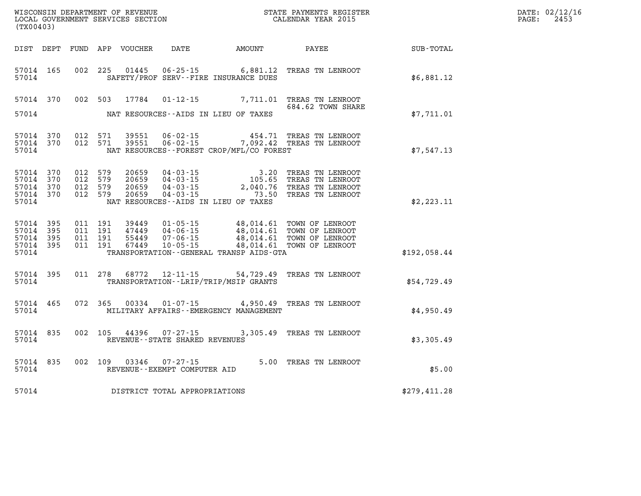| DATE: | 02/12/16 |
|-------|----------|
| PAGE: | 2453     |

| (TX00403)                                 |                          |                          |                          | WISCONSIN DEPARTMENT OF REVENUE<br>LOCAL GOVERNMENT SERVICES SECTION |                                                                      | STATE PAYMENTS REGISTER<br>CALENDAR YEAR 2015                                                    |                                                                              |              |
|-------------------------------------------|--------------------------|--------------------------|--------------------------|----------------------------------------------------------------------|----------------------------------------------------------------------|--------------------------------------------------------------------------------------------------|------------------------------------------------------------------------------|--------------|
| DIST                                      | DEPT                     | FUND                     | APP                      | VOUCHER                                                              | DATE                                                                 | AMOUNT                                                                                           | PAYEE                                                                        | SUB-TOTAL    |
| 57014<br>57014                            | 165                      | 002                      | 225                      | 01445                                                                | $06 - 25 - 15$                                                       | 6,881.12<br>SAFETY/PROF SERV--FIRE INSURANCE DUES                                                | TREAS TN LENROOT                                                             | \$6,881.12   |
| 57014                                     | 370                      | 002                      | 503                      | 17784                                                                | $01 - 12 - 15$                                                       | 7,711.01                                                                                         | TREAS TN LENROOT<br>684.62 TOWN SHARE                                        |              |
| 57014                                     |                          |                          |                          |                                                                      |                                                                      | NAT RESOURCES -- AIDS IN LIEU OF TAXES                                                           |                                                                              | \$7,711.01   |
| 57014<br>57014<br>57014                   | 370<br>370               | 012<br>012               | 571<br>571               | 39551<br>39551                                                       | $06 - 02 - 15$<br>$06 - 02 - 15$                                     | 454.71<br>7,092.42<br>NAT RESOURCES--FOREST CROP/MFL/CO FOREST                                   | TREAS TN LENROOT<br>TREAS TN LENROOT                                         | \$7,547.13   |
| 57014<br>57014<br>57014<br>57014<br>57014 | 370<br>370<br>370<br>370 | 012<br>012<br>012<br>012 | 579<br>579<br>579<br>579 | 20659<br>20659<br>20659<br>20659                                     | $04 - 03 - 15$<br>$04 - 03 - 15$<br>$04 - 03 - 15$<br>$04 - 03 - 15$ | 3.20<br>105.65<br>2,040.76<br>73.50<br>NAT RESOURCES--AIDS IN LIEU OF TAXES                      | TREAS TN LENROOT<br>TREAS TN LENROOT<br>TREAS TN LENROOT<br>TREAS TN LENROOT | \$2,223.11   |
| 57014<br>57014<br>57014<br>57014<br>57014 | 395<br>395<br>395<br>395 | 011<br>011<br>011<br>011 | 191<br>191<br>191<br>191 | 39449<br>47449<br>55449<br>67449                                     | $01 - 05 - 15$<br>$04 - 06 - 15$<br>$07 - 06 - 15$<br>$10 - 05 - 15$ | 48,014.61<br>48,014.61<br>48,014.61<br>48,014.61<br>TRANSPORTATION - - GENERAL TRANSP AIDS - GTA | TOWN OF LENROOT<br>TOWN OF LENROOT<br>TOWN OF LENROOT<br>TOWN OF LENROOT     | \$192,058.44 |
| 57014<br>57014                            | 395                      | 011                      | 278                      | 68772                                                                | $12 - 11 - 15$                                                       | 54,729.49<br>TRANSPORTATION - - LRIP/TRIP/MSIP GRANTS                                            | TREAS TN LENROOT                                                             | \$54,729.49  |
| 57014<br>57014                            | 465                      | 072                      | 365                      | 00334                                                                | $01 - 07 - 15$                                                       | 4,950.49<br>MILITARY AFFAIRS - - EMERGENCY MANAGEMENT                                            | TREAS TN LENROOT                                                             | \$4,950.49   |
| 57014<br>57014                            | 835                      | 002                      | 105                      | 44396                                                                | $07 - 27 - 15$<br>REVENUE - - STATE SHARED REVENUES                  | 3,305.49                                                                                         | TREAS TN LENROOT                                                             | \$3,305.49   |
| 57014<br>57014                            | 835                      | 002                      | 109                      | 03346                                                                | $07 - 27 - 15$<br>REVENUE - - EXEMPT COMPUTER AID                    | 5.00                                                                                             | TREAS TN LENROOT                                                             | \$5.00       |
| 57014                                     |                          |                          |                          |                                                                      | DISTRICT TOTAL APPROPRIATIONS                                        |                                                                                                  |                                                                              | \$279,411.28 |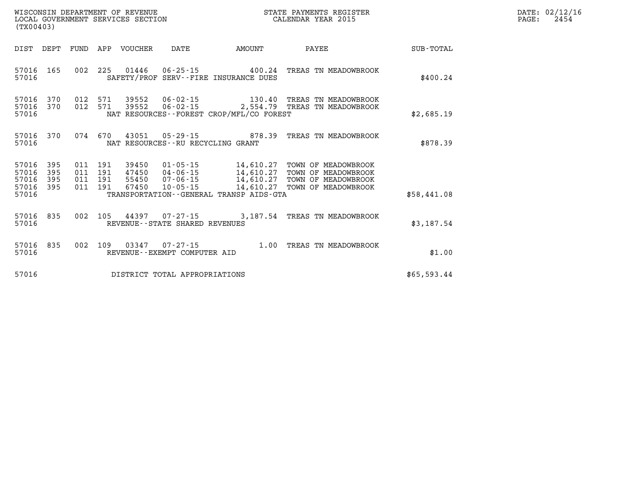| DATE: | 02/12/16 |
|-------|----------|
| PAGE: | 2454     |

| (TX00403)                                 |                          |                          |                          | WISCONSIN DEPARTMENT OF REVENUE<br>LOCAL GOVERNMENT SERVICES SECTION |                                                                      | STATE PAYMENTS REGISTER<br>CALENDAR YEAR 2015                                               |                                                                                          |                  |  |
|-------------------------------------------|--------------------------|--------------------------|--------------------------|----------------------------------------------------------------------|----------------------------------------------------------------------|---------------------------------------------------------------------------------------------|------------------------------------------------------------------------------------------|------------------|--|
| DIST                                      | DEPT                     | FUND                     | APP                      | VOUCHER                                                              | DATE                                                                 | AMOUNT                                                                                      | PAYEE                                                                                    | <b>SUB-TOTAL</b> |  |
| 57016<br>57016                            | 165                      | 002                      | 225                      | 01446                                                                | $06 - 25 - 15$                                                       | 400.24<br>SAFETY/PROF SERV--FIRE INSURANCE DUES                                             | TREAS TN MEADOWBROOK                                                                     | \$400.24         |  |
| 57016<br>57016<br>57016                   | 370<br>370               | 012<br>012               | 571<br>571               | 39552<br>39552                                                       | $06 - 02 - 15$<br>$06 - 02 - 15$                                     | 130.40<br>2,554.79<br>NAT RESOURCES - - FOREST CROP/MFL/CO FOREST                           | TREAS TN MEADOWBROOK<br>TREAS<br>TN MEADOWBROOK                                          | \$2,685.19       |  |
| 57016<br>57016                            | 370                      | 074                      | 670                      | 43051                                                                | $05 - 29 - 15$<br>NAT RESOURCES - - RU RECYCLING GRANT               | 878.39                                                                                      | TREAS TN MEADOWBROOK                                                                     | \$878.39         |  |
| 57016<br>57016<br>57016<br>57016<br>57016 | 395<br>395<br>395<br>395 | 011<br>011<br>011<br>011 | 191<br>191<br>191<br>191 | 39450<br>47450<br>55450<br>67450                                     | $01 - 05 - 15$<br>$04 - 06 - 15$<br>$07 - 06 - 15$<br>$10 - 05 - 15$ | 14,610.27<br>14,610.27<br>14,610.27<br>14,610.27<br>TRANSPORTATION--GENERAL TRANSP AIDS-GTA | TOWN OF MEADOWBROOK<br>TOWN OF MEADOWBROOK<br>TOWN OF MEADOWBROOK<br>TOWN OF MEADOWBROOK | \$58,441.08      |  |
| 57016<br>57016                            | 835                      | 002                      | 105                      | 44397                                                                | 07-27-15<br>REVENUE - - STATE SHARED REVENUES                        | 3,187.54                                                                                    | TREAS TN MEADOWBROOK                                                                     | \$3,187.54       |  |
| 57016<br>57016                            | 835                      | 002                      | 109                      | 03347                                                                | $07 - 27 - 15$<br>REVENUE--EXEMPT COMPUTER AID                       | 1.00                                                                                        | TREAS TN MEADOWBROOK                                                                     | \$1.00           |  |
| 57016                                     |                          |                          |                          |                                                                      | DISTRICT TOTAL APPROPRIATIONS                                        |                                                                                             |                                                                                          | \$65,593.44      |  |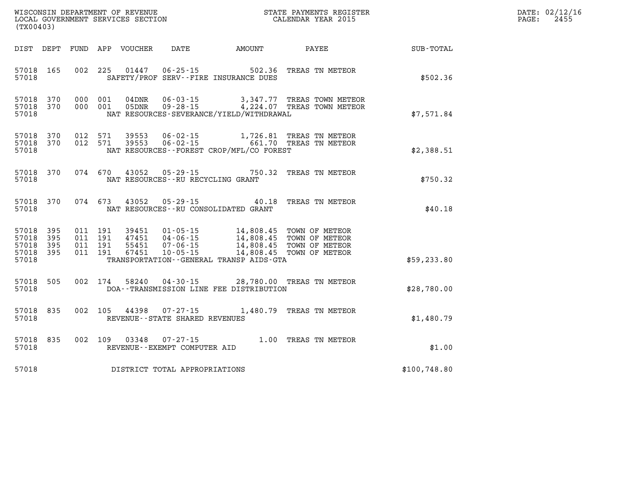|  | DATE: 02/12/16<br>PAGE: 2455 |
|--|------------------------------|
|  |                              |

| DIST                                      | DEPT                     | FUND                     | APP                      | VOUCHER                          | DATE                                                     | <b>EXAMPLE THE AMOUNT</b>                                                                        | <b>PAYEE</b>                                                         | SUB-TOTAL    |
|-------------------------------------------|--------------------------|--------------------------|--------------------------|----------------------------------|----------------------------------------------------------|--------------------------------------------------------------------------------------------------|----------------------------------------------------------------------|--------------|
| 57018<br>57018                            | 165                      | 002                      | 225                      | 01447                            | $06 - 25 - 15$                                           | 502.36<br>SAFETY/PROF SERV--FIRE INSURANCE DUES                                                  | TREAS TN METEOR                                                      | \$502.36     |
| 57018<br>57018<br>57018                   | 370<br>370               | 000<br>000               | 001<br>001               | 04DNR<br>05DNR                   | $06 - 03 - 15$<br>$09 - 28 - 15$                         | NAT RESOURCES-SEVERANCE/YIELD/WITHDRAWAL                                                         | 3,347.77 TREAS TOWN METEOR<br>4,224.07 TREAS TOWN METEOR             | \$7,571.84   |
| 57018<br>57018<br>57018                   | 370<br>370               | 012<br>012               | 571<br>571               | 39553<br>39553                   | $06 - 02 - 15$<br>06-02-15                               | NAT RESOURCES - - FOREST CROP/MFL/CO FOREST                                                      | 1,726.81 TREAS TN METEOR<br>661.70 TREAS TN METEOR                   | \$2,388.51   |
| 57018<br>57018                            | 370                      | 074                      | 670                      |                                  | NAT RESOURCES - - RU RECYCLING GRANT                     | 43052 05-29-15 750.32                                                                            | TREAS TN METEOR                                                      | \$750.32     |
| 57018<br>57018                            | 370                      | 074                      | 673                      | 43052                            |                                                          | $05 - 29 - 15$ 40.18<br>NAT RESOURCES - - RU CONSOLIDATED GRANT                                  | TREAS TN METEOR                                                      | \$40.18      |
| 57018<br>57018<br>57018<br>57018<br>57018 | 395<br>395<br>395<br>395 | 011<br>011<br>011<br>011 | 191<br>191<br>191<br>191 | 39451<br>47451<br>55451<br>67451 | $01 - 05 - 15$<br>04-06-15<br>07-06-15<br>$10 - 05 - 15$ | 14,808.45<br>14,808.45<br>14,808.45<br>14,808.45<br>TRANSPORTATION - - GENERAL TRANSP AIDS - GTA | TOWN OF METEOR<br>TOWN OF METEOR<br>TOWN OF METEOR<br>TOWN OF METEOR | \$59,233.80  |
| 57018<br>57018                            | 505                      | 002                      | 174                      | 58240                            |                                                          | $04 - 30 - 15$ 28,780.00<br>DOA--TRANSMISSION LINE FEE DISTRIBUTION                              | TREAS TN METEOR                                                      | \$28,780.00  |
| 57018<br>57018                            | 835                      | 002                      | 105                      | 44398                            | 07-27-15<br>REVENUE - - STATE SHARED REVENUES            |                                                                                                  | 1,480.79 TREAS TN METEOR                                             | \$1,480.79   |
| 57018<br>57018                            | 835                      | 002                      | 109                      | 03348                            | $07 - 27 - 15$<br>REVENUE--EXEMPT COMPUTER AID           | 1.00                                                                                             | TREAS TN METEOR                                                      | \$1.00       |
| 57018                                     |                          |                          |                          |                                  | DISTRICT TOTAL APPROPRIATIONS                            |                                                                                                  |                                                                      | \$100,748.80 |

WISCONSIN DEPARTMENT OF REVENUE **STATE PAYMENTS REGISTER**<br>LOCAL GOVERNMENT SERVICES SECTION

LOCAL GOVERNMENT SERVICES SECTION

**(TX00403)**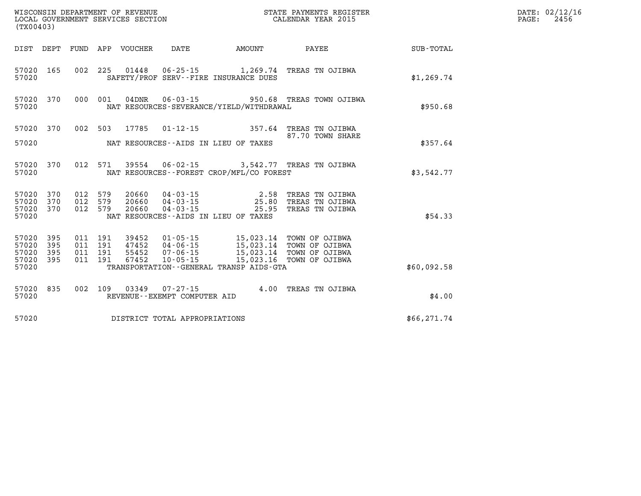| (TX00403)          |                        |                    |               | WISCONSIN DEPARTMENT OF REVENUE<br>LOCAL GOVERNMENT SERVICES SECTION<br>(TYO0403) |                                            | STATE PAYMENTS REGISTER<br>CALENDAR YEAR 2015                                                                             |              | DATE: 02/12/16<br>PAGE:<br>2456 |
|--------------------|------------------------|--------------------|---------------|-----------------------------------------------------------------------------------|--------------------------------------------|---------------------------------------------------------------------------------------------------------------------------|--------------|---------------------------------|
|                    |                        |                    |               |                                                                                   | DIST DEPT FUND APP VOUCHER DATE AMOUNT     | <b>PAYEE</b>                                                                                                              | SUB-TOTAL    |                                 |
| 57020 165<br>57020 |                        |                    |               |                                                                                   | SAFETY/PROF SERV--FIRE INSURANCE DUES      | 002 225 01448 06-25-15 1,269.74 TREAS TN OJIBWA                                                                           | \$1,269.74   |                                 |
| 57020              | 57020 370              |                    | 000 001 04DNR |                                                                                   | NAT RESOURCES-SEVERANCE/YIELD/WITHDRAWAL   | 06-03-15 950.68 TREAS TOWN OJIBWA                                                                                         | \$950.68     |                                 |
|                    | 57020 370              | 002 503            |               |                                                                                   |                                            | 17785 01-12-15 357.64 TREAS TN OJIBWA<br>87.70 TOWN SHARE                                                                 |              |                                 |
| 57020              |                        |                    |               |                                                                                   | NAT RESOURCES -- AIDS IN LIEU OF TAXES     |                                                                                                                           | \$357.64     |                                 |
| 57020              | 57020 370              |                    |               |                                                                                   | NAT RESOURCES--FOREST CROP/MFL/CO FOREST   | 012 571 39554 06-02-15 3,542.77 TREAS TN OJIBWA                                                                           | \$3,542.77   |                                 |
|                    | 57020 370<br>57020 370 | 012 579<br>012 579 |               |                                                                                   |                                            | 20660  04-03-15  2.58 TREAS TN OJIBWA<br>20660  04-03-15  25.80 TREAS TN OJIBWA<br>20660  04-03-15  25.95 TREAS TN OJIBWA |              |                                 |
| 57020 370<br>57020 |                        | 012 579            |               |                                                                                   | NAT RESOURCES--AIDS IN LIEU OF TAXES       |                                                                                                                           | \$54.33      |                                 |
| 57020 395<br>57020 | 395                    | 011 191<br>011 191 |               |                                                                                   | 39452  01-05-15  15,023.14  TOWN OF OJIBWA |                                                                                                                           |              |                                 |
| 57020<br>57020 395 | 395                    | 011 191<br>011 191 |               |                                                                                   |                                            |                                                                                                                           |              |                                 |
| 57020              |                        |                    |               |                                                                                   | TRANSPORTATION--GENERAL TRANSP AIDS-GTA    |                                                                                                                           | \$60,092.58  |                                 |
| 57020              | 57020 835              |                    | 002 109 03349 | 07-27-15<br>REVENUE--EXEMPT COMPUTER AID                                          |                                            | 4.00 TREAS TN OJIBWA                                                                                                      | \$4.00       |                                 |
| 57020              |                        |                    |               | DISTRICT TOTAL APPROPRIATIONS                                                     |                                            |                                                                                                                           | \$66, 271.74 |                                 |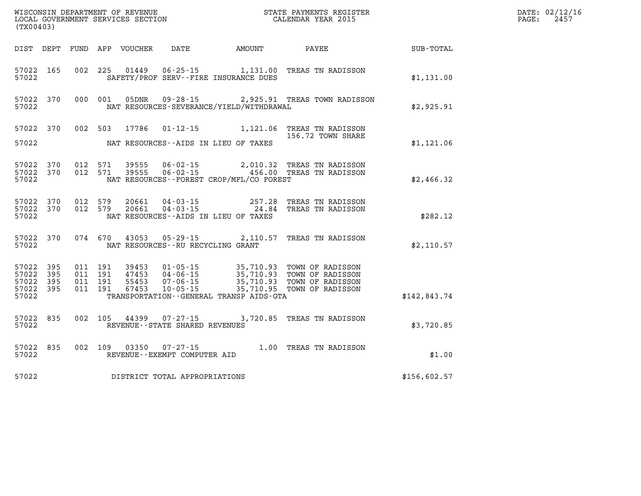| (TX00403)                                                 |                        |                                          |                    |                                                        |                                              |                                                                                                                                                                                               |              | DATE: 02/12/16<br>$\mathtt{PAGE:}$<br>2457 |
|-----------------------------------------------------------|------------------------|------------------------------------------|--------------------|--------------------------------------------------------|----------------------------------------------|-----------------------------------------------------------------------------------------------------------------------------------------------------------------------------------------------|--------------|--------------------------------------------|
|                                                           |                        |                                          |                    |                                                        | DIST DEPT FUND APP VOUCHER DATE AMOUNT PAYEE |                                                                                                                                                                                               | SUB-TOTAL    |                                            |
| 57022 165<br>57022                                        |                        |                                          |                    |                                                        | SAFETY/PROF SERV--FIRE INSURANCE DUES        | 002 225 01449 06-25-15 1,131.00 TREAS TN RADISSON                                                                                                                                             | \$1,131.00   |                                            |
| 57022                                                     | 57022 370              |                                          |                    |                                                        | NAT RESOURCES-SEVERANCE/YIELD/WITHDRAWAL     | 000 001 05DNR 09-28-15 2,925.91 TREAS TOWN RADISSON                                                                                                                                           | \$2,925.91   |                                            |
|                                                           | 57022 370              |                                          |                    |                                                        |                                              | 002 503 17786 01-12-15 1,121.06 TREAS TN RADISSON<br>156.72 TOWN SHARE                                                                                                                        |              |                                            |
| 57022                                                     |                        |                                          |                    |                                                        | NAT RESOURCES--AIDS IN LIEU OF TAXES         |                                                                                                                                                                                               | \$1,121.06   |                                            |
| 57022 370<br>57022 370<br>57022                           |                        |                                          | 012 571<br>012 571 |                                                        | NAT RESOURCES - - FOREST CROP/MFL/CO FOREST  |                                                                                                                                                                                               | \$2,466.32   |                                            |
| 57022                                                     | 57022 370<br>57022 370 | 012 579                                  | 012 579            |                                                        | NAT RESOURCES--AIDS IN LIEU OF TAXES         | 20661  04-03-15  257.28  TREAS TN RADISSON<br>20661  04-03-15  24.84  TREAS TN RADISSON                                                                                                       | \$282.12     |                                            |
| 57022                                                     |                        |                                          |                    | NAT RESOURCES--RU RECYCLING GRANT                      |                                              | 57022 370 074 670 43053 05-29-15 2,110.57 TREAS TN RADISSON                                                                                                                                   | \$2,110.57   |                                            |
| 57022 395<br>57022 395<br>57022 395<br>57022 395<br>57022 |                        | 011 191<br>011 191<br>011 191<br>011 191 |                    |                                                        | TRANSPORTATION - - GENERAL TRANSP AIDS - GTA | 39453  01-05-15  35,710.93  TOWN OF RADISSON<br>47453  04-06-15  35,710.93  TOWN OF RADISSON<br>55453  07-06-15  35,710.93  TOWN OF RADISSON<br>67453  10-05-15   35,710.95  TOWN OF RADISSON | \$142,843.74 |                                            |
| 57022                                                     | 57022 835              |                                          |                    | REVENUE--STATE SHARED REVENUES                         |                                              | 002 105 44399 07-27-15 3,720.85 TREAS TN RADISSON                                                                                                                                             | \$3,720.85   |                                            |
| 57022                                                     | 57022 835              |                                          |                    | 002 109 03350 07-27-15<br>REVENUE--EXEMPT COMPUTER AID |                                              | 1.00 TREAS TN RADISSON                                                                                                                                                                        | \$1.00       |                                            |
| 57022                                                     |                        |                                          |                    | DISTRICT TOTAL APPROPRIATIONS                          |                                              |                                                                                                                                                                                               | \$156,602.57 |                                            |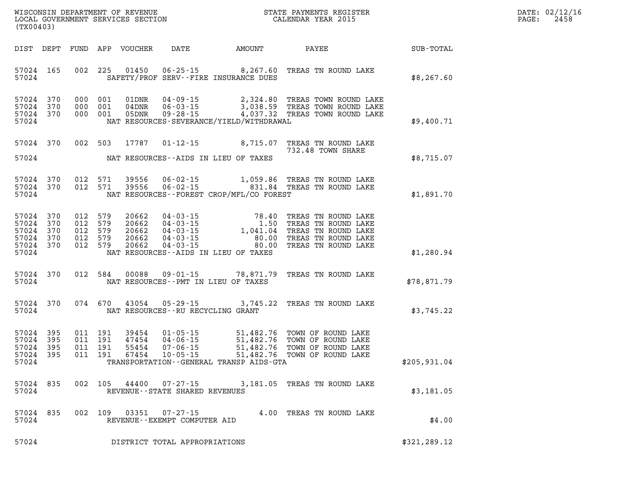| (TX00403)                                                                             | WISCONSIN DEPARTMENT OF REVENUE<br>LOCAL GOVERNMENT SERVICES SECTION                                            |                                                                                                                                  |                                                           | STATE PAYMENTS REGISTER<br>CALENDAR YEAR 2015                                                                   |              |
|---------------------------------------------------------------------------------------|-----------------------------------------------------------------------------------------------------------------|----------------------------------------------------------------------------------------------------------------------------------|-----------------------------------------------------------|-----------------------------------------------------------------------------------------------------------------|--------------|
| DIST<br>DEPT                                                                          | FUND<br>APP<br>VOUCHER                                                                                          | DATE                                                                                                                             | AMOUNT                                                    | PAYEE                                                                                                           | SUB-TOTAL    |
| 57024<br>165<br>57024                                                                 | 002<br>225<br>01450                                                                                             | $06 - 25 - 15$ 8, 267.60<br>SAFETY/PROF SERV--FIRE INSURANCE DUES                                                                |                                                           | TREAS TN ROUND LAKE                                                                                             | \$8,267.60   |
| 57024<br>370<br>57024<br>370<br>57024<br>370<br>57024                                 | 000<br>001<br>01DNR<br>000<br>001<br>$04$ DNR<br>000<br>001<br>05DNR                                            | 04-09-15<br>$06 - 03 - 15$<br>$09 - 28 - 15$<br>NAT RESOURCES-SEVERANCE/YIELD/WITHDRAWAL                                         | 2,324.80                                                  | TREAS TOWN ROUND LAKE<br>3,038.59 TREAS TOWN ROUND LAKE<br>4,037.32 TREAS TOWN ROUND LAKE                       | \$9,400.71   |
| 57024<br>370                                                                          | 002<br>503<br>17787                                                                                             | $01 - 12 - 15$                                                                                                                   | 8,715.07                                                  | TREAS TN ROUND LAKE<br>732.48 TOWN SHARE                                                                        |              |
| 57024                                                                                 |                                                                                                                 | NAT RESOURCES--AIDS IN LIEU OF TAXES                                                                                             |                                                           |                                                                                                                 | \$8,715.07   |
| 57024<br>370<br>370<br>57024<br>57024                                                 | 012<br>571<br>39556<br>012<br>39556<br>571                                                                      | $06 - 02 - 15$<br>$06 - 02 - 15$<br>NAT RESOURCES--FOREST CROP/MFL/CO FOREST                                                     | 1,059.86<br>831.84                                        | TREAS TN ROUND LAKE<br>TREAS TN ROUND LAKE                                                                      | \$1,891.70   |
| 57024<br>370<br>57024<br>370<br>57024<br>370<br>57024<br>370<br>57024<br>370<br>57024 | 012<br>579<br>20662<br>012<br>579<br>20662<br>579<br>012<br>20662<br>012<br>579<br>20662<br>012<br>579<br>20662 | $04 - 03 - 15$<br>$04 - 03 - 15$<br>$04 - 03 - 15$<br>$04 - 03 - 15$<br>$04 - 03 - 15$<br>NAT RESOURCES -- AIDS IN LIEU OF TAXES | 78.40<br>$1.50$<br>1.041.04<br>1,041.04<br>80.00<br>80.00 | TREAS TN ROUND LAKE<br>TREAS TN ROUND LAKE<br>TREAS TN ROUND LAKE<br>TREAS TN ROUND LAKE<br>TREAS TN ROUND LAKE | \$1,280.94   |
| 370<br>57024<br>57024                                                                 | 012<br>584<br>00088                                                                                             | $09 - 01 - 15$<br>NAT RESOURCES -- PMT IN LIEU OF TAXES                                                                          | 78,871.79                                                 | TREAS TN ROUND LAKE                                                                                             | \$78,871.79  |
| 370<br>57024<br>57024                                                                 | 074<br>670<br>43054                                                                                             | 05 - 29 - 15<br>NAT RESOURCES -- RU RECYCLING GRANT                                                                              | 3,745.22                                                  | TREAS TN ROUND LAKE                                                                                             | \$3,745.22   |
| 57024<br>395<br>57024<br>395<br>57024<br>395<br>57024<br>395<br>57024                 | 011<br>191<br>39454<br>011<br>191<br>47454<br>011<br>191<br>55454<br>67454<br>011<br>191                        | $01 - 05 - 15$<br>$04 - 06 - 15$<br>$07 - 06 - 15$<br>$10 - 05 - 15$<br>TRANSPORTATION - - GENERAL TRANSP AIDS - GTA             | 51,482.76<br>51,482.76<br>51,482.76<br>51,482.76          | TOWN OF ROUND LAKE<br>TOWN OF ROUND LAKE<br>TOWN OF ROUND LAKE<br>TOWN OF ROUND LAKE                            | \$205,931.04 |
| 57024<br>835<br>57024                                                                 | 002<br>105 44400                                                                                                | $07 - 27 - 15$<br>REVENUE - - STATE SHARED REVENUES                                                                              |                                                           | 3,181.05 TREAS TN ROUND LAKE                                                                                    | \$3,181.05   |
| 57024<br>835<br>57024                                                                 | 002<br>109<br>03351                                                                                             | 07-27-15<br>REVENUE--EXEMPT COMPUTER AID                                                                                         | 4.00                                                      | TREAS TN ROUND LAKE                                                                                             | \$4.00       |
| 57024                                                                                 |                                                                                                                 | DISTRICT TOTAL APPROPRIATIONS                                                                                                    |                                                           |                                                                                                                 | \$321,289.12 |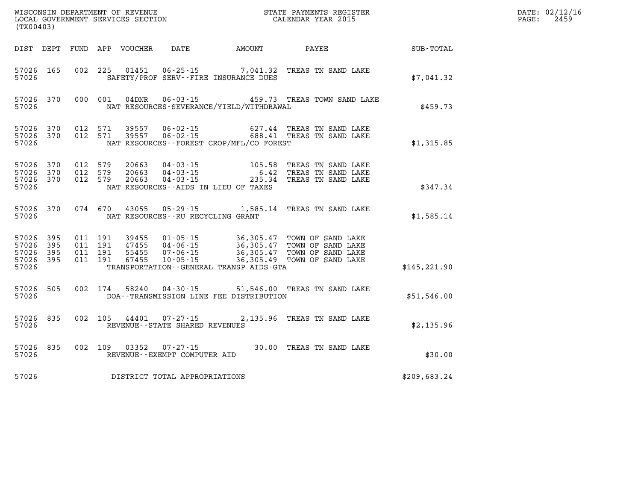| (TX00403)                       |                        |                                          |  |                                     |                                              |                                                                                                                                                                                                                                                                                                                                      |              | DATE: 02/12/16<br>$\mathtt{PAGE:}$<br>2459 |
|---------------------------------|------------------------|------------------------------------------|--|-------------------------------------|----------------------------------------------|--------------------------------------------------------------------------------------------------------------------------------------------------------------------------------------------------------------------------------------------------------------------------------------------------------------------------------------|--------------|--------------------------------------------|
|                                 |                        |                                          |  |                                     | DIST DEPT FUND APP VOUCHER DATE AMOUNT PAYEE |                                                                                                                                                                                                                                                                                                                                      | SUB-TOTAL    |                                            |
| 57026                           | 57026 165              |                                          |  |                                     | SAFETY/PROF SERV--FIRE INSURANCE DUES        | 002 225 01451 06-25-15 7,041.32 TREAS TN SAND LAKE                                                                                                                                                                                                                                                                                   | \$7,041.32   |                                            |
| 57026                           |                        |                                          |  |                                     | NAT RESOURCES-SEVERANCE/YIELD/WITHDRAWAL     | 57026 370 000 001 04DNR 06-03-15 459.73 TREAS TOWN SAND LAKE                                                                                                                                                                                                                                                                         | \$459.73     |                                            |
| 57026                           |                        |                                          |  |                                     | NAT RESOURCES--FOREST CROP/MFL/CO FOREST     | $\begin{array}{cccccccc} 57026 & 370 & 012 & 571 & 39557 & 06\text{-}02\text{-}15 & & & & & 627.44 & \text{TREAS TN SAND LAKE} \\ 57026 & 370 & 012 & 571 & 39557 & 06\text{-}02\text{-}15 & & & & 688.41 & \text{TREAS TN SAND LAKE} \end{array}$                                                                                   | \$1,315.85   |                                            |
| 57026                           |                        |                                          |  |                                     | NAT RESOURCES--AIDS IN LIEU OF TAXES         | $\begin{array}{cccccc} 57026 & 370 & 012 & 579 & 20663 & 04\cdot 03\cdot 15 & & & 105.58 & \text{TREAS TN SAM D LAKE} \\ 57026 & 370 & 012 & 579 & 20663 & 04\cdot 03\cdot 15 & & & 6.42 & \text{TREAS TN SAM D LAKE} \\ 57026 & 370 & 012 & 579 & 20663 & 04\cdot 03\cdot 15 & & & 235.34 & \text{TREAS TN SAM D LAKE} \end{array}$ | \$347.34     |                                            |
| 57026                           |                        |                                          |  | NAT RESOURCES -- RU RECYCLING GRANT |                                              | 57026 370 074 670 43055 05-29-15 1,585.14 TREAS TN SAND LAKE                                                                                                                                                                                                                                                                         | \$1,585.14   |                                            |
| 57026 395<br>57026 395<br>57026 | 57026 395<br>57026 395 | 011 191<br>011 191<br>011 191<br>011 191 |  |                                     | TRANSPORTATION--GENERAL TRANSP AIDS-GTA      | 39455  01-05-15  36,305.47  TOWN OF SAND LAKE<br>47455  04-06-15  36,305.47  TOWN OF SAND LAKE<br>55455  07-06-15  36,305.47  TOWN OF SAND LAKE<br>67455  10-05-15  36,305.49  TOWN OF SAND LAKE                                                                                                                                     | \$145,221.90 |                                            |
|                                 | 57026                  |                                          |  |                                     | DOA--TRANSMISSION LINE FEE DISTRIBUTION      | 57026 505 002 174 58240 04-30-15 51,546.00 TREAS TN SAND LAKE                                                                                                                                                                                                                                                                        | \$51,546.00  |                                            |
| 57026                           |                        |                                          |  | REVENUE--STATE SHARED REVENUES      |                                              | 57026 835 002 105 44401 07-27-15 2,135.96 TREAS TN SAND LAKE                                                                                                                                                                                                                                                                         | \$2,135.96   |                                            |
| 57026                           |                        |                                          |  | REVENUE--EXEMPT COMPUTER AID        |                                              | 57026 835 002 109 03352 07-27-15 30.00 TREAS TN SAND LAKE                                                                                                                                                                                                                                                                            | \$30.00      |                                            |
| 57026                           |                        |                                          |  | DISTRICT TOTAL APPROPRIATIONS       |                                              |                                                                                                                                                                                                                                                                                                                                      | \$209,683.24 |                                            |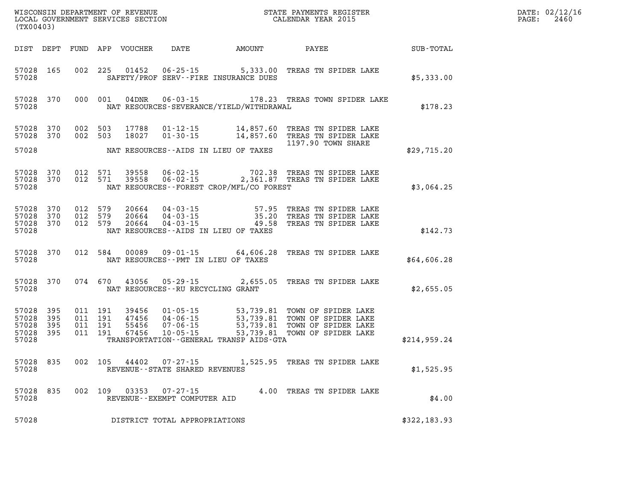| (TX00403)                        |                                   |  |                                     |                                              |                                                                                                                                                                                                                              |              | DATE: 02/12/16<br>$\mathtt{PAGE:}$<br>2460 |
|----------------------------------|-----------------------------------|--|-------------------------------------|----------------------------------------------|------------------------------------------------------------------------------------------------------------------------------------------------------------------------------------------------------------------------------|--------------|--------------------------------------------|
|                                  |                                   |  |                                     | DIST DEPT FUND APP VOUCHER DATE AMOUNT PAYEE |                                                                                                                                                                                                                              | SUB-TOTAL    |                                            |
| 57028                            | 57028 165                         |  |                                     | SAFETY/PROF SERV--FIRE INSURANCE DUES        | 002 225 01452 06-25-15 5,333.00 TREAS TN SPIDER LAKE                                                                                                                                                                         | \$5,333.00   |                                            |
| 57028                            |                                   |  |                                     | NAT RESOURCES-SEVERANCE/YIELD/WITHDRAWAL     | 57028 370 000 001 04DNR 06-03-15 178.23 TREAS TOWN SPIDER LAKE                                                                                                                                                               | \$178.23     |                                            |
|                                  | 57028 370<br>57028 370            |  |                                     |                                              | 002 503 17788 01-12-15 14,857.60 TREAS TN SPIDER LAKE<br>002 503 18027 01-30-15 14,857.60 TREAS TN SPIDER LAKE<br>1197.90 TOWN SHARE                                                                                         |              |                                            |
| 57028                            |                                   |  |                                     | NAT RESOURCES--AIDS IN LIEU OF TAXES         |                                                                                                                                                                                                                              | \$29,715.20  |                                            |
| 57028                            |                                   |  |                                     | NAT RESOURCES -- FOREST CROP/MFL/CO FOREST   | 57028 370 012 571 39558 06-02-15 702.38 TREAS TN SPIDER LAKE<br>57028 370 012 571 39558 06-02-15 2,361.87 TREAS TN SPIDER LAKE                                                                                               | \$3,064.25   |                                            |
| 57028                            |                                   |  |                                     | NAT RESOURCES--AIDS IN LIEU OF TAXES         | 57028 370 012 579 20664 04-03-15     57.95 TREASTNSPIDERLAKE<br>57028 370 012 579 20664 04-03-15     35.20 TREASTNSPIDERLAKE<br>57028 370 012 579 20664 04-03-15     49.58 TREASTNSPIDERLAKE                                 | \$142.73     |                                            |
| 57028                            | 57028 370                         |  | NAT RESOURCES--PMT IN LIEU OF TAXES |                                              | 012 584 00089 09-01-15 64,606.28 TREAS TN SPIDER LAKE                                                                                                                                                                        | \$64,606.28  |                                            |
| 57028                            | 57028 370                         |  | NAT RESOURCES--RU RECYCLING GRANT   |                                              | 074 670 43056 05-29-15 2,655.05 TREAS TN SPIDER LAKE                                                                                                                                                                         | \$2,655.05   |                                            |
| 57028<br>57028<br>57028<br>57028 | 395<br>57028 395<br>-395<br>- 395 |  |                                     | TRANSPORTATION--GENERAL TRANSP AIDS-GTA      | 011 191 39456 01-05-15 53,739.81 TOWN OF SPIDER LAKE<br>011 191 47456 04-06-15 53,739.81 TOWN OF SPIDER LAKE<br>011 191 55456 07-06-15 53,739.81 TOWN OF SPIDER LAKE<br>011 191 67456 10-05-15 53,739.81 TOWN OF SPIDER LAKE | \$214,959.24 |                                            |
| 57028                            | 57028 835                         |  | REVENUE--STATE SHARED REVENUES      |                                              | 002 105 44402 07-27-15 1,525.95 TREAS TN SPIDER LAKE                                                                                                                                                                         | \$1,525.95   |                                            |
| 57028                            | 57028 835                         |  | REVENUE--EXEMPT COMPUTER AID        |                                              | 002 109 03353 07-27-15 4.00 TREAS TN SPIDER LAKE                                                                                                                                                                             | \$4.00       |                                            |
| 57028                            |                                   |  | DISTRICT TOTAL APPROPRIATIONS       |                                              |                                                                                                                                                                                                                              | \$322,183.93 |                                            |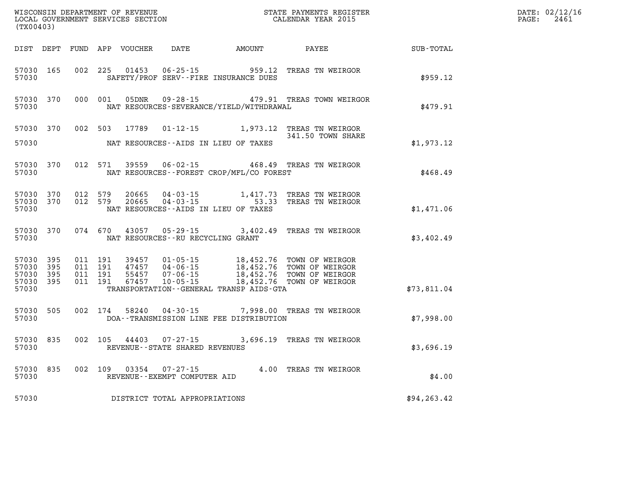| (TX00403)                                     |                   |                                          |         | WISCONSIN DEPARTMENT OF REVENUE<br>LOCAL GOVERNMENT SERVICES SECTION |                                                     |                                                                                                       | STATE PAYMENTS REGISTER<br>CALENDAR YEAR 2015                                                                                                  |              | DATE: 02/12/16<br>$\mathtt{PAGE}$ :<br>2461 |
|-----------------------------------------------|-------------------|------------------------------------------|---------|----------------------------------------------------------------------|-----------------------------------------------------|-------------------------------------------------------------------------------------------------------|------------------------------------------------------------------------------------------------------------------------------------------------|--------------|---------------------------------------------|
|                                               |                   |                                          |         |                                                                      | DIST DEPT FUND APP VOUCHER DATE AMOUNT              |                                                                                                       | PAYEE                                                                                                                                          | SUB-TOTAL    |                                             |
| 57030 165<br>57030                            |                   | 002 225                                  |         | 01453                                                                |                                                     | 06-25-15 959.12<br>SAFETY/PROF SERV--FIRE INSURANCE DUES                                              | TREAS TN WEIRGOR                                                                                                                               | \$959.12     |                                             |
| 57030 370<br>57030                            |                   |                                          | 000 001 | 05DNR                                                                |                                                     | NAT RESOURCES-SEVERANCE/YIELD/WITHDRAWAL                                                              | 09-28-15 479.91 TREAS TOWN WEIRGOR                                                                                                             | \$479.91     |                                             |
| 57030 370<br>57030                            |                   | 002 503                                  |         | 17789                                                                |                                                     | NAT RESOURCES -- AIDS IN LIEU OF TAXES                                                                | 01-12-15 1,973.12 TREAS TN WEIRGOR<br>341.50 TOWN SHARE                                                                                        | \$1,973.12   |                                             |
|                                               |                   |                                          |         |                                                                      |                                                     |                                                                                                       |                                                                                                                                                |              |                                             |
| 57030 370<br>57030                            |                   | 012 571                                  |         | 39559                                                                |                                                     | NAT RESOURCES - - FOREST CROP/MFL/CO FOREST                                                           | 06-02-15 468.49 TREAS TN WEIRGOR                                                                                                               | \$468.49     |                                             |
| 57030 370<br>57030                            | 57030 370         | 012 579<br>012 579                       |         |                                                                      |                                                     | 20665  04 - 03 - 15   1,417.73<br>20665  04 - 03 - 15   53.33<br>NAT RESOURCES--AIDS IN LIEU OF TAXES | 1,417.73 TREAS TN WEIRGOR<br>TREAS TN WEIRGOR                                                                                                  | \$1,471.06   |                                             |
| 57030 370<br>57030                            |                   |                                          |         | 074 670 43057                                                        | NAT RESOURCES - - RU RECYCLING GRANT                |                                                                                                       | 05-29-15 3,402.49 TREAS TN WEIRGOR                                                                                                             | \$3,402.49   |                                             |
| 57030 395<br>57030<br>57030<br>57030<br>57030 | 395<br>395<br>395 | 011 191<br>011 191<br>011 191<br>011 191 |         | 55457<br>67457                                                       | $07 - 06 - 15$<br>$10 - 05 - 15$                    | TRANSPORTATION - - GENERAL TRANSP AIDS - GTA                                                          | 39457 01-05-15 18,452.76 TOWN OF WEIRGOR<br>47457 04-06-15 18,452.76 TOWN OF WEIRGOR<br>18,452.76 TOWN OF WEIRGOR<br>18,452.76 TOWN OF WEIRGOR | \$73,811.04  |                                             |
| 57030 505<br>57030                            |                   |                                          | 002 174 |                                                                      |                                                     | DOA--TRANSMISSION LINE FEE DISTRIBUTION                                                               | 58240  04-30-15  7,998.00 TREAS TN WEIRGOR                                                                                                     | \$7,998.00   |                                             |
| 57030 835<br>57030                            |                   | 002 105                                  |         |                                                                      | 44403 07-27-15<br>REVENUE - - STATE SHARED REVENUES |                                                                                                       | 3,696.19 TREAS TN WEIRGOR                                                                                                                      | \$3,696.19   |                                             |
| 57030 835<br>57030                            |                   |                                          |         | 002 109 03354                                                        | $07 - 27 - 15$<br>REVENUE--EXEMPT COMPUTER AID      |                                                                                                       | 4.00 TREAS TN WEIRGOR                                                                                                                          | \$4.00       |                                             |
| 57030                                         |                   |                                          |         |                                                                      | DISTRICT TOTAL APPROPRIATIONS                       |                                                                                                       |                                                                                                                                                | \$94, 263.42 |                                             |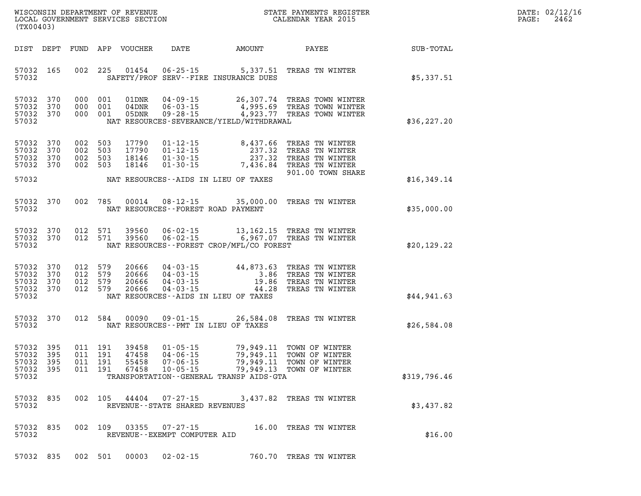| DATE:            | 02/12/16 |
|------------------|----------|
| $\texttt{PAGE:}$ | 2462     |

| (TX00403)                                                 |     |                    |                               |                                        |                                                        |                                                                                                                                                                                                               | WISCONSIN DEPARTMENT OF REVENUE<br>LOCAL GOVERNMENT SERVICES SECTION TERMS CONFORMED BOOK CALENDAR YEAR 2015                                                                                                                                                            |              | DATE: 02/12/1<br>2462<br>PAGE: |
|-----------------------------------------------------------|-----|--------------------|-------------------------------|----------------------------------------|--------------------------------------------------------|---------------------------------------------------------------------------------------------------------------------------------------------------------------------------------------------------------------|-------------------------------------------------------------------------------------------------------------------------------------------------------------------------------------------------------------------------------------------------------------------------|--------------|--------------------------------|
|                                                           |     |                    |                               | DIST DEPT FUND APP VOUCHER             | <b>DATE</b>                                            | AMOUNT                                                                                                                                                                                                        | PAYEE                                                                                                                                                                                                                                                                   | SUB-TOTAL    |                                |
| 57032 165<br>57032                                        |     |                    | 002 225                       |                                        |                                                        | SAFETY/PROF SERV--FIRE INSURANCE DUES                                                                                                                                                                         | 01454  06-25-15  5,337.51  TREAS TN WINTER                                                                                                                                                                                                                              | \$5,337.51   |                                |
| 57032 370<br>57032 370<br>57032 370<br>57032              |     |                    | 000 001<br>000 001            | 01DNR<br>$04\rm{DNR}$<br>000 001 05DNR |                                                        | NAT RESOURCES-SEVERANCE/YIELD/WITHDRAWAL                                                                                                                                                                      | 04-09-15 26,307.74 TREAS TOWN WINTER<br>06-03-15 4,995.69 TREAS TOWN WINTER<br>09-28-15 4,923.77 TREAS TOWN WINTER                                                                                                                                                      | \$36, 227.20 |                                |
| 57032 370<br>57032 370<br>57032 370<br>57032 370<br>57032 |     | 002 503<br>002 503 | 002 503<br>002 503            | 17790<br>17790<br>18146<br>18146       |                                                        | NAT RESOURCES--AIDS IN LIEU OF TAXES                                                                                                                                                                          | 01-12-15<br>01-12-15<br>01-30-15<br>01-30-15<br>01-30-15<br>01-30-15<br>01-30-15<br>01-30-15<br>01-30-15<br>01-30-15<br>01-30-15<br>01-30-15<br>01-30-15<br>01-30-15<br>01-30-15<br>01-30-15<br>01-30-15<br>01-30-15<br>01-30-15<br>01-30-15<br>01<br>901.00 TOWN SHARE |              |                                |
|                                                           |     |                    |                               |                                        |                                                        |                                                                                                                                                                                                               |                                                                                                                                                                                                                                                                         | \$16,349.14  |                                |
| 57032 370<br>57032                                        |     |                    |                               |                                        |                                                        | NAT RESOURCES--FOREST ROAD PAYMENT                                                                                                                                                                            | 002 785 00014 08-12-15 35,000.00 TREAS TN WINTER                                                                                                                                                                                                                        | \$35,000.00  |                                |
| 57032 370<br>57032 370<br>57032                           |     |                    | 012 571<br>012 571            |                                        |                                                        | NAT RESOURCES--FOREST CROP/MFL/CO FOREST                                                                                                                                                                      | 39560  06-02-15  13,162.15  TREAS TN WINTER<br>39560  06-02-15  6,967.07  TREAS TN WINTER                                                                                                                                                                               | \$20,129.22  |                                |
| 57032 370<br>57032 370<br>57032<br>57032 370<br>57032     | 370 | 012 579            | 012 579<br>012 579<br>012 579 |                                        |                                                        | NAT RESOURCES--AIDS IN LIEU OF TAXES                                                                                                                                                                          | 20666  04-03-15  44,873.63  TREAS TN WINTER<br>20666  04-03-15  3.86  TREAS TN WINTER<br>20666  04-03-15  19.86  TREAS TN WINTER<br>20666  04-03-15  44.28  TREAS TN WINTER                                                                                             | \$44,941.63  |                                |
| 57032 370<br>57032                                        |     |                    | 012 584                       | 00090                                  |                                                        | NAT RESOURCES--PMT IN LIEU OF TAXES                                                                                                                                                                           | 09-01-15 26,584.08 TREAS TN WINTER                                                                                                                                                                                                                                      | \$26,584.08  |                                |
| 57032 395<br>57032<br>57032 395<br>57032 395<br>57032     | 395 | 011 191            | 011 191<br>011 191<br>011 191 | 39458<br>47458<br>55458<br>67458       | $10 - 05 - 15$                                         | 01-05-15 79,949.11 TOWN OF WINTER<br>04-06-15 79,949.11 TOWN OF WINTER<br>07-06-15 79,949.11 TOWN OF WINTER<br>10-05-15 79,949.13 TOWN OF WINTER<br>79,949.13<br>TRANSPORTATION - - GENERAL TRANSP AIDS - GTA | TOWN OF WINTER                                                                                                                                                                                                                                                          | \$319,796.46 |                                |
| 57032 835<br>57032                                        |     |                    |                               |                                        | REVENUE--STATE SHARED REVENUES                         |                                                                                                                                                                                                               | 002 105 44404 07-27-15 3,437.82 TREAS TN WINTER                                                                                                                                                                                                                         | \$3,437.82   |                                |
| 57032 835<br>57032                                        |     |                    |                               |                                        | 002 109 03355 07-27-15<br>REVENUE--EXEMPT COMPUTER AID |                                                                                                                                                                                                               | 16.00 TREAS TN WINTER                                                                                                                                                                                                                                                   | \$16.00      |                                |
|                                                           |     |                    |                               |                                        |                                                        |                                                                                                                                                                                                               |                                                                                                                                                                                                                                                                         |              |                                |

**57032 835 002 501 00003 02-02-15 760.70 TREAS TN WINTER**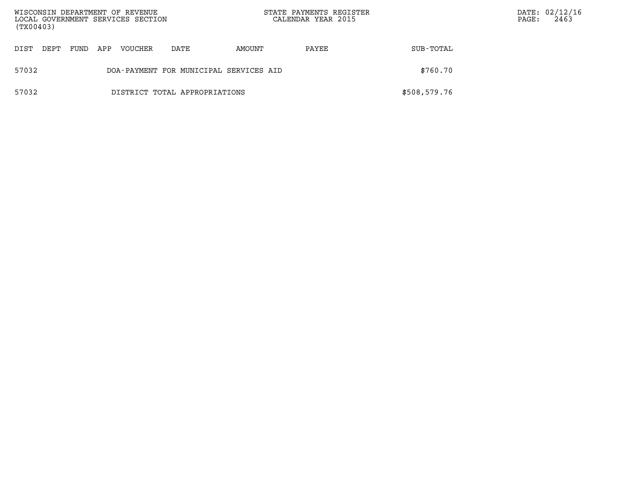| WISCONSIN DEPARTMENT OF REVENUE<br>LOCAL GOVERNMENT SERVICES SECTION<br>(TX00403) |                                        |      |     |         |                               | STATE PAYMENTS REGISTER<br>CALENDAR YEAR 2015 |       | DATE: 02/12/16<br>2463<br>PAGE: |  |  |
|-----------------------------------------------------------------------------------|----------------------------------------|------|-----|---------|-------------------------------|-----------------------------------------------|-------|---------------------------------|--|--|
| DIST                                                                              | DEPT                                   | FUND | APP | VOUCHER | DATE                          | AMOUNT                                        | PAYEE | SUB-TOTAL                       |  |  |
| 57032                                                                             | DOA-PAYMENT FOR MUNICIPAL SERVICES AID |      |     |         |                               |                                               |       | \$760.70                        |  |  |
| 57032                                                                             |                                        |      |     |         | DISTRICT TOTAL APPROPRIATIONS |                                               |       | \$508,579.76                    |  |  |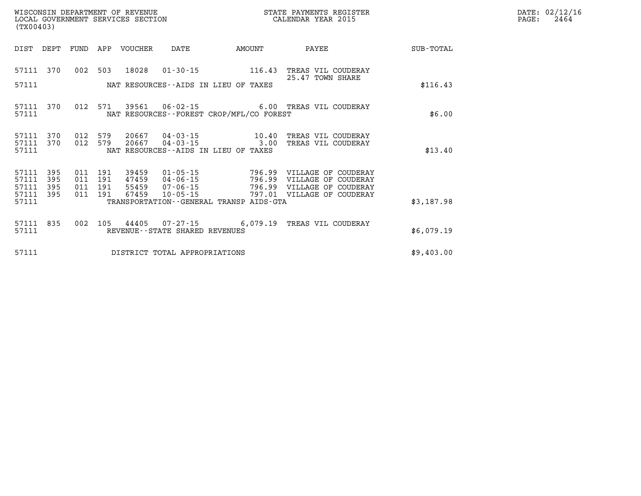| DATE: | 02/12/16 |
|-------|----------|
| PAGE: | 2464     |

| (TX00403)                                 |                          |                          |                          | WISCONSIN DEPARTMENT OF REVENUE<br>LOCAL GOVERNMENT SERVICES SECTION |                                                                      |                                                                                 | STATE PAYMENTS REGISTER<br>CALENDAR YEAR 2015                                            |            |
|-------------------------------------------|--------------------------|--------------------------|--------------------------|----------------------------------------------------------------------|----------------------------------------------------------------------|---------------------------------------------------------------------------------|------------------------------------------------------------------------------------------|------------|
| DIST                                      | DEPT                     | FUND                     | APP                      | VOUCHER DATE                                                         |                                                                      | AMOUNT                                                                          | PAYEE                                                                                    | SUB-TOTAL  |
| 57111                                     | 370                      | 002                      | 503                      |                                                                      |                                                                      | 18028  01-30-15  116.43                                                         | TREAS VIL COUDERAY<br>25.47 TOWN SHARE                                                   |            |
| 57111                                     |                          |                          |                          |                                                                      |                                                                      | NAT RESOURCES -- AIDS IN LIEU OF TAXES                                          |                                                                                          | \$116.43   |
| 57111<br>57111                            | 370                      | 012                      | 571                      |                                                                      |                                                                      | NAT RESOURCES - - FOREST CROP/MFL/CO FOREST                                     | 39561  06-02-15   6.00 TREAS VIL COUDERAY                                                | \$6.00     |
| 57111<br>57111<br>57111                   | 370<br>370               | 012<br>012               | 579<br>579               |                                                                      | NAT RESOURCES--AIDS IN LIEU OF TAXES                                 | 20667  04-03-15  10.40<br>20667 04-03-15 3.00                                   | TREAS VIL COUDERAY<br>TREAS VIL COUDERAY                                                 | \$13.40    |
| 57111<br>57111<br>57111<br>57111<br>57111 | 395<br>395<br>395<br>395 | 011<br>011<br>011<br>011 | 191<br>191<br>191<br>191 | 39459<br>47459<br>55459<br>67459                                     | $01 - 05 - 15$<br>$04 - 06 - 15$<br>$07 - 06 - 15$<br>$10 - 05 - 15$ | 796.99<br>796.99<br>796.99<br>797.01<br>TRANSPORTATION--GENERAL TRANSP AIDS-GTA | VILLAGE OF COUDERAY<br>VILLAGE OF COUDERAY<br>VILLAGE OF COUDERAY<br>VILLAGE OF COUDERAY | \$3,187.98 |
| 57111<br>57111                            | 835                      | 002                      | 105                      |                                                                      | REVENUE--STATE SHARED REVENUES                                       | 44405 07-27-15 6,079.19                                                         | TREAS VIL COUDERAY                                                                       | \$6,079.19 |
| 57111                                     |                          |                          |                          |                                                                      | DISTRICT TOTAL APPROPRIATIONS                                        |                                                                                 |                                                                                          | \$9,403.00 |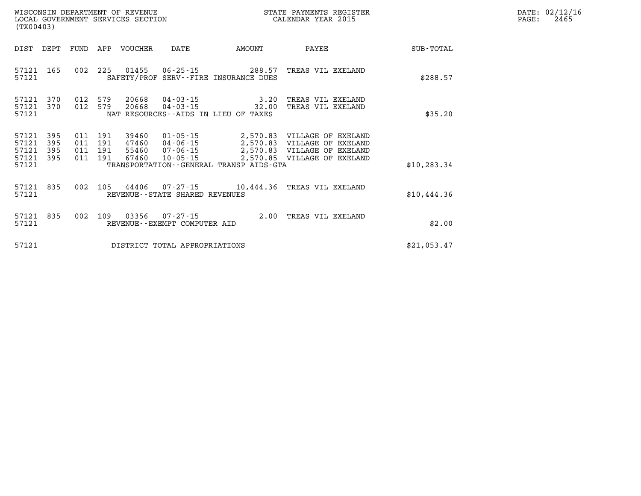| WISCONSIN DEPARTMENT OF REVENUE   | PAYMENTS REGISTER<br>3TATE | DATE | 02/12/16 |
|-----------------------------------|----------------------------|------|----------|
| LOCAL GOVERNMENT SERVICES SECTION | CALENDAR YEAR 2015         | PAGE | 2465     |

| (TX00403)                        |                          |                |                           | LOCAL GOVERNMENT SERVICES SECTION |                                  |                                                                                     | CALENDAR YEAR 2015                                                                                                                                  |              | PAGE: | 2465 |
|----------------------------------|--------------------------|----------------|---------------------------|-----------------------------------|----------------------------------|-------------------------------------------------------------------------------------|-----------------------------------------------------------------------------------------------------------------------------------------------------|--------------|-------|------|
| DIST                             | DEPT                     |                |                           | FUND APP VOUCHER                  | DATE                             | AMOUNT                                                                              | PAYEE                                                                                                                                               | SUB-TOTAL    |       |      |
| 57121 165<br>57121               |                          |                |                           |                                   |                                  | SAFETY/PROF SERV--FIRE INSURANCE DUES                                               | 002 225 01455 06-25-15 288.57 TREAS VIL EXELAND                                                                                                     | \$288.57     |       |      |
| 57121<br>57121<br>57121          | 370<br>370               | 012<br>012     | 579<br>579                | 20668                             |                                  | 20668 04-03-15 3.20<br>$04 - 03 - 15$ 32.00<br>NAT RESOURCES--AIDS IN LIEU OF TAXES | TREAS VIL EXELAND<br>TREAS VIL EXELAND                                                                                                              | \$35.20      |       |      |
| 57121<br>57121<br>57121<br>57121 | 395<br>395<br>395<br>395 | 011 191<br>011 | 011 191<br>011 191<br>191 | 39460<br>47460<br>67460           | 55460 07-06-15<br>$10 - 05 - 15$ |                                                                                     | 01-05-15 2,570.83 VILLAGE OF EXELAND<br>04-06-15 2,570.83 VILLAGE OF EXELAND<br>07-06-15 2,570.83 VILLAGE OF EXELAND<br>2,570.85 VILLAGE OF EXELAND |              |       |      |
| 57121                            |                          |                |                           |                                   |                                  | TRANSPORTATION--GENERAL TRANSP AIDS-GTA                                             |                                                                                                                                                     | \$10, 283.34 |       |      |
| 57121 835<br>57121               |                          |                |                           |                                   | REVENUE--STATE SHARED REVENUES   |                                                                                     | 002 105 44406 07-27-15 10,444.36 TREAS VIL EXELAND                                                                                                  | \$10,444.36  |       |      |
| 57121 835<br>57121               |                          |                |                           |                                   | REVENUE--EXEMPT COMPUTER AID     |                                                                                     | 002 109 03356 07-27-15 2.00 TREAS VIL EXELAND                                                                                                       | \$2.00       |       |      |
| 57121                            |                          |                |                           |                                   | DISTRICT TOTAL APPROPRIATIONS    |                                                                                     |                                                                                                                                                     | \$21,053.47  |       |      |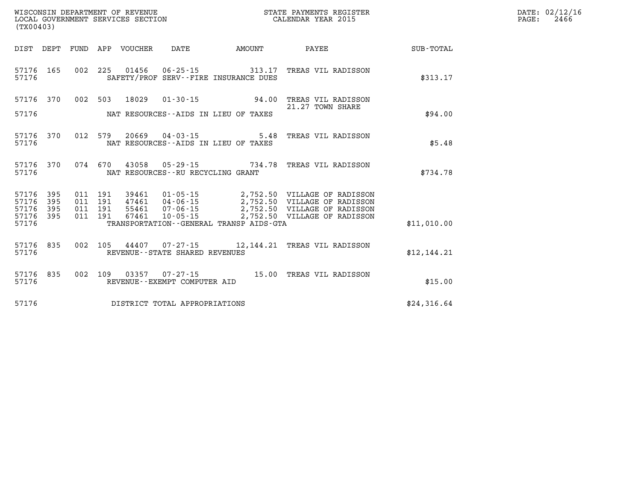| (TX00403)                                                 |                               |         |                                  |                                      |                                                                        |                                                        |             | DATE: 02/12/16<br>2466<br>$\mathtt{PAGE}$ : |
|-----------------------------------------------------------|-------------------------------|---------|----------------------------------|--------------------------------------|------------------------------------------------------------------------|--------------------------------------------------------|-------------|---------------------------------------------|
| DIST DEPT                                                 |                               |         |                                  |                                      | FUND APP VOUCHER DATE AMOUNT                                           | <b>PAYEE</b> PAYEE                                     | SUB-TOTAL   |                                             |
| 57176 165<br>57176                                        |                               |         |                                  |                                      | 002 225 01456 06-25-15 313.17<br>SAFETY/PROF SERV--FIRE INSURANCE DUES | TREAS VIL RADISSON                                     | \$313.17    |                                             |
| 57176 370                                                 | 002                           |         | 503 18029                        |                                      |                                                                        | 01-30-15  94.00 TREAS VIL RADISSON<br>21.27 TOWN SHARE |             |                                             |
| 57176                                                     |                               |         |                                  |                                      | NAT RESOURCES--AIDS IN LIEU OF TAXES                                   |                                                        | \$94.00     |                                             |
| 57176 370<br>57176                                        |                               |         |                                  |                                      | NAT RESOURCES--AIDS IN LIEU OF TAXES                                   | 012 579 20669 04-03-15 5.48 TREAS VIL RADISSON         | \$5.48      |                                             |
| 57176 370<br>57176                                        |                               |         |                                  | NAT RESOURCES - - RU RECYCLING GRANT |                                                                        | 074 670 43058 05-29-15 734.78 TREAS VIL RADISSON       | \$734.78    |                                             |
| 57176<br>395<br>57176<br>395<br>57176<br>395<br>57176 395 | 011 191<br>011 191<br>011 191 | 011 191 | 39461<br>47461<br>55461<br>67461 | 10-05-15                             |                                                                        | 2,752.50 VILLAGE OF RADISSON                           |             |                                             |
| 57176                                                     |                               |         |                                  |                                      | TRANSPORTATION--GENERAL TRANSP AIDS-GTA                                |                                                        | \$11,010.00 |                                             |
| 57176 835<br>57176                                        |                               |         |                                  | REVENUE - - STATE SHARED REVENUES    |                                                                        | 002 105 44407 07-27-15 12,144.21 TREAS VIL RADISSON    | \$12,144.21 |                                             |
| 57176 835<br>57176                                        | 002                           |         |                                  | REVENUE--EXEMPT COMPUTER AID         |                                                                        | 109  03357  07-27-15  15.00 TREAS VIL RADISSON         | \$15.00     |                                             |

**57176 DISTRICT TOTAL APPROPRIATIONS \$24,316.64**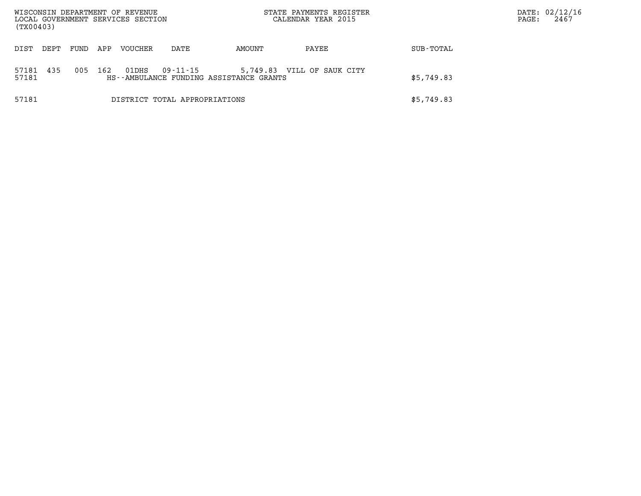| (TX00403)      |      |      |     | WISCONSIN DEPARTMENT OF REVENUE<br>LOCAL GOVERNMENT SERVICES SECTION |                               |                                                                       | STATE PAYMENTS REGISTER<br>CALENDAR YEAR 2015 |            | PAGE: | DATE: 02/12/16<br>2467 |
|----------------|------|------|-----|----------------------------------------------------------------------|-------------------------------|-----------------------------------------------------------------------|-----------------------------------------------|------------|-------|------------------------|
| DIST           | DEPT | FUND | APP | VOUCHER                                                              | DATE                          | AMOUNT                                                                | PAYEE                                         | SUB-TOTAL  |       |                        |
| 57181<br>57181 | 435  | 005  | 162 | 01DHS                                                                | 09-11-15                      | 5,749.83 VILL OF SAUK CITY<br>HS--AMBULANCE FUNDING ASSISTANCE GRANTS |                                               | \$5,749.83 |       |                        |
| 57181          |      |      |     |                                                                      | DISTRICT TOTAL APPROPRIATIONS |                                                                       |                                               | \$5,749.83 |       |                        |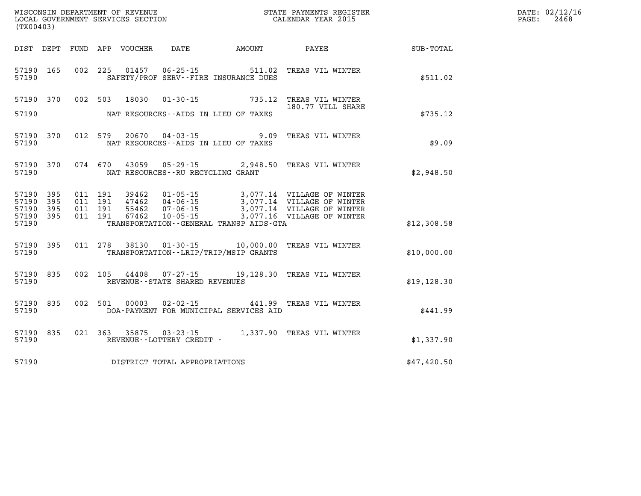| (TX00403)                                                                                        | WISCONSIN DEPARTMENT OF REVENUE<br>LOCAL GOVERNMENT SERVICES SECTION                                                                              | STATE PAYMENTS REGISTER<br>CALENDAR YEAR 2015 |             | DATE: 02/12/16<br>PAGE:<br>2468 |
|--------------------------------------------------------------------------------------------------|---------------------------------------------------------------------------------------------------------------------------------------------------|-----------------------------------------------|-------------|---------------------------------|
| DIST DEPT                                                                                        | FUND APP VOUCHER                                                                                                                                  | DATE AMOUNT PAYEE                             | SUB-TOTAL   |                                 |
| 57190 165<br>57190                                                                               | 002 225 01457 06-25-15 511.02<br>SAFETY/PROF SERV--FIRE INSURANCE DUES                                                                            | TREAS VIL WINTER                              | \$511.02    |                                 |
| 57190 370<br>57190                                                                               | 002 503 18030 01-30-15 735.12 TREAS VIL WINTER<br>180.77 VILL SHARI<br>NAT RESOURCES--AIDS IN LIEU OF TAXES                                       | 180.77 VILL SHARE                             | \$735.12    |                                 |
| 57190 370<br>57190                                                                               | 20670  04-03-15  9.09  TREAS VIL WINTER<br>012 579<br>NAT RESOURCES--AIDS IN LIEU OF TAXES                                                        |                                               | \$9.09      |                                 |
| 57190 370<br>57190                                                                               | 074 670<br>43059  05-29-15  2,948.50  TREAS VIL WINTER<br>NAT RESOURCES -- RU RECYCLING GRANT                                                     |                                               | \$2,948.50  |                                 |
| 57190 395<br>011 191<br>57190<br>395<br>011 191<br>57190<br>395<br>57190 395<br>011 191<br>57190 | 39462  01-05-15  3,077.14  VILLAGE OF WINTER<br>011 191 55462 07-06-15<br>67462<br>$10 - 05 - 15$<br>TRANSPORTATION - - GENERAL TRANSP AIDS - GTA | 3,077.16 VILLAGE OF WINTER                    | \$12,308.58 |                                 |
| 57190 395<br>57190                                                                               | 011 278 38130 01-30-15 10,000.00 TREAS VIL WINTER<br>TRANSPORTATION - - LRIP/TRIP/MSIP GRANTS                                                     |                                               | \$10,000.00 |                                 |
| 57190 835<br>57190                                                                               | 07-27-15 19,128.30 TREAS VIL WINTER<br>002 105 44408<br>REVENUE--STATE SHARED REVENUES                                                            |                                               | \$19,128.30 |                                 |
| 57190 835<br>57190                                                                               | 002 501 00003<br>$02 - 02 - 15$<br>DOA-PAYMENT FOR MUNICIPAL SERVICES AID                                                                         | 441.99 TREAS VIL WINTER                       | \$441.99    |                                 |
| 57190 835<br>57190                                                                               | 021 363 35875<br>03 - 23 - 15<br>REVENUE--LOTTERY CREDIT -                                                                                        | 1,337.90 TREAS VIL WINTER                     | \$1,337.90  |                                 |
| 57190                                                                                            | DISTRICT TOTAL APPROPRIATIONS                                                                                                                     |                                               | \$47,420.50 |                                 |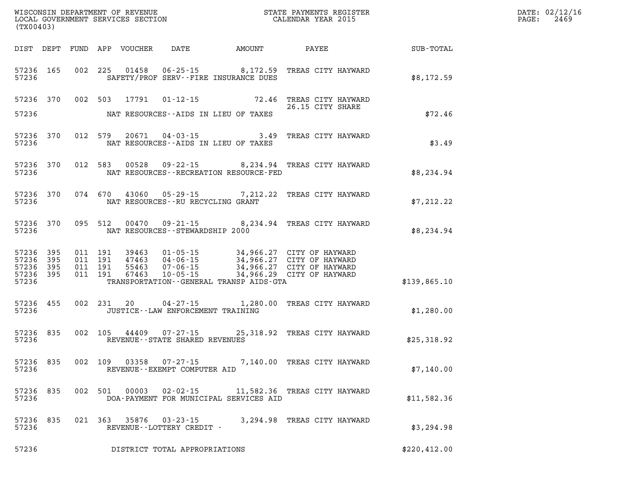| (TX00403)                                             |           |                               |         |       |                                                                                                                                                                                                                                     |          |                              |              | $\mathtt{PAGE:}$ | DATE: 02/12/16<br>2469 |
|-------------------------------------------------------|-----------|-------------------------------|---------|-------|-------------------------------------------------------------------------------------------------------------------------------------------------------------------------------------------------------------------------------------|----------|------------------------------|--------------|------------------|------------------------|
|                                                       |           |                               |         |       | DIST DEPT FUND APP VOUCHER DATE AMOUNT                                                                                                                                                                                              |          | PAYEE SUB-TOTAL              |              |                  |                        |
| 57236                                                 |           |                               |         |       | 57236 165 002 225 01458 06-25-15 8,172.59 TREAS CITY HAYWARD<br>SAFETY/PROF SERV--FIRE INSURANCE DUES                                                                                                                               |          |                              | \$8,172.59   |                  |                        |
|                                                       |           |                               |         |       | 57236 370 002 503 17791 01-12-15 72.46 TREAS CITY HAYWARD                                                                                                                                                                           |          | 26.15 CITY SHARE             |              |                  |                        |
| 57236                                                 |           |                               |         |       | NAT RESOURCES--AIDS IN LIEU OF TAXES                                                                                                                                                                                                |          |                              | \$72.46      |                  |                        |
| 57236                                                 |           |                               |         |       | 57236 370 012 579 20671 04-03-15 3.49 TREAS CITY HAYWARD<br>NAT RESOURCES--AIDS IN LIEU OF TAXES                                                                                                                                    |          |                              | \$3.49       |                  |                        |
| 57236                                                 |           |                               |         |       | 57236 370 012 583 00528 09-22-15 8,234.94 TREAS CITY HAYWARD<br>NAT RESOURCES--RECREATION RESOURCE-FED                                                                                                                              |          |                              | \$8,234.94   |                  |                        |
| 57236                                                 |           |                               |         |       | 57236 370 074 670 43060 05-29-15 7,212.22 TREAS CITY HAYWARD<br>NAT RESOURCES--RU RECYCLING GRANT                                                                                                                                   |          |                              | \$7,212.22   |                  |                        |
| 57236                                                 |           |                               |         |       | 57236 370 095 512 00470 09-21-15 8,234.94 TREAS CITY HAYWARD<br>NAT RESOURCES -- STEWARDSHIP 2000                                                                                                                                   |          |                              | \$8,234.94   |                  |                        |
| 57236<br>57236 395<br>57236 395<br>57236 395<br>57236 | 395       | 011 191<br>011 191<br>011 191 | 011 191 |       | 39463  01-05-15  34,966.27  CITY OF HAYWARD<br>47463  04-06-15  34,966.27  CITY OF HAYWARD<br>55463  07-06-15  34,966.27  CITY OF HAYWARD<br>67463  10-05-15  34,966.29  CITY OF HAYWARD<br>TRANSPORTATION--GENERAL TRANSP AIDS-GTA |          |                              | \$139,865.10 |                  |                        |
| 57236                                                 | 57236 455 |                               |         |       | 002 231 20 04-27-15 1,280.00 TREAS CITY HAYWARD<br>JUSTICE--LAW ENFORCEMENT TRAINING                                                                                                                                                |          |                              | \$1,280.00   |                  |                        |
| 57236                                                 |           |                               |         |       | 57236 835 002 105 44409 07-27-15 25,318.92 TREAS CITY HAYWARD<br>REVENUE--STATE SHARED REVENUES                                                                                                                                     |          |                              | \$25,318.92  |                  |                        |
| 57236                                                 |           |                               |         |       | 57236 835 002 109 03358 07-27-15 7,140.00 TREAS CITY HAYWARD<br>REVENUE--EXEMPT COMPUTER AID                                                                                                                                        |          |                              | \$7,140.00   |                  |                        |
| 57236<br>57236                                        | 835       | 002                           | 501     | 00003 | $02 - 02 - 15$<br>DOA-PAYMENT FOR MUNICIPAL SERVICES AID                                                                                                                                                                            |          | 11,582.36 TREAS CITY HAYWARD | \$11,582.36  |                  |                        |
| 57236<br>57236                                        | 835       |                               | 021 363 | 35876 | $03 - 23 - 15$<br>REVENUE--LOTTERY CREDIT -                                                                                                                                                                                         | 3,294.98 | TREAS CITY HAYWARD           | \$3,294.98   |                  |                        |
| 57236                                                 |           |                               |         |       | DISTRICT TOTAL APPROPRIATIONS                                                                                                                                                                                                       |          |                              | \$220,412.00 |                  |                        |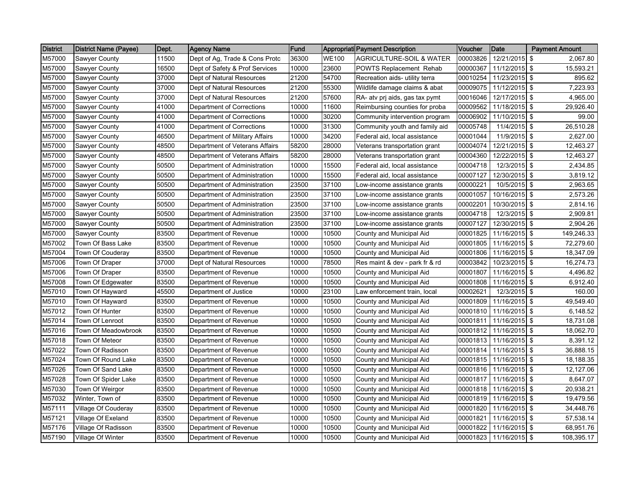| <b>District</b> | <b>District Name (Payee)</b> | Dept. | <b>Agency Name</b>             | Fund  |              | Appropriati Payment Description     | Voucher  | Date          | <b>Payment Amount</b> |
|-----------------|------------------------------|-------|--------------------------------|-------|--------------|-------------------------------------|----------|---------------|-----------------------|
| M57000          | Sawyer County                | 11500 | Dept of Ag, Trade & Cons Protc | 36300 | <b>WE100</b> | <b>AGRICULTURE-SOIL &amp; WATER</b> | 00003826 | 12/21/2015    | 2,067.80<br>\$        |
| M57000          | <b>Sawyer County</b>         | 16500 | Dept of Safety & Prof Services | 10000 | 23600        | POWTS Replacement Rehab             | 00000367 | 11/12/2015 \$ | 15,593.21             |
| M57000          | Sawyer County                | 37000 | Dept of Natural Resources      | 21200 | 54700        | Recreation aids- utility terra      | 00010254 | 11/23/2015 \$ | 895.62                |
| M57000          | Sawyer County                | 37000 | Dept of Natural Resources      | 21200 | 55300        | Wildlife damage claims & abat       | 00009075 | 11/12/2015 \$ | 7,223.93              |
| M57000          | <b>Sawyer County</b>         | 37000 | Dept of Natural Resources      | 21200 | 57600        | RA- atv prj aids, gas tax pymt      | 00016046 | 12/17/2015 \$ | 4,965.00              |
| M57000          | Sawyer County                | 41000 | Department of Corrections      | 10000 | 11600        | Reimbursing counties for proba      | 00009562 | 11/18/2015 \$ | 29,926.40             |
| M57000          | <b>Sawyer County</b>         | 41000 | Department of Corrections      | 10000 | 30200        | Community intervention program      | 00006902 | 11/10/2015 \$ | 99.00                 |
| M57000          | <b>Sawyer County</b>         | 41000 | Department of Corrections      | 10000 | 31300        | Community youth and family aid      | 00005748 | 11/4/2015 \$  | 26,510.28             |
| M57000          | Sawyer County                | 46500 | Department of Military Affairs | 10000 | 34200        | Federal aid, local assistance       | 00001044 | 11/9/2015 \$  | 2,627.00              |
| M57000          | Sawyer County                | 48500 | Department of Veterans Affairs | 58200 | 28000        | Veterans transportation grant       | 00004074 | 12/21/2015 \$ | 12,463.27             |
| M57000          | Sawyer County                | 48500 | Department of Veterans Affairs | 58200 | 28000        | Veterans transportation grant       | 00004360 | 12/22/2015 \$ | 12,463.27             |
| M57000          | <b>Sawyer County</b>         | 50500 | Department of Administration   | 10000 | 15500        | Federal aid, local assistance       | 00004718 | 12/3/2015     | -\$<br>2,434.85       |
| M57000          | <b>Sawyer County</b>         | 50500 | Department of Administration   | 10000 | 15500        | Federal aid, local assistance       | 00007127 | 12/30/2015 \$ | 3,819.12              |
| M57000          | Sawyer County                | 50500 | Department of Administration   | 23500 | 37100        | Low-income assistance grants        | 00000221 | 10/5/2015 \$  | 2,963.65              |
| M57000          | Sawyer County                | 50500 | Department of Administration   | 23500 | 37100        | Low-income assistance grants        | 00001057 | 10/16/2015    | -\$<br>2,573.26       |
| M57000          | <b>Sawyer County</b>         | 50500 | Department of Administration   | 23500 | 37100        | Low-income assistance grants        | 00002201 | 10/30/2015 \$ | 2,814.16              |
| M57000          | <b>Sawyer County</b>         | 50500 | Department of Administration   | 23500 | 37100        | Low-income assistance grants        | 00004718 | 12/3/2015 \$  | 2,909.81              |
| M57000          | Sawyer County                | 50500 | Department of Administration   | 23500 | 37100        | Low-income assistance grants        | 00007127 | 12/30/2015 \$ | 2,904.26              |
| M57000          | <b>Sawyer County</b>         | 83500 | Department of Revenue          | 10000 | 10500        | County and Municipal Aid            | 00001825 | 11/16/2015 \$ | 149,246.33            |
| M57002          | Town Of Bass Lake            | 83500 | Department of Revenue          | 10000 | 10500        | County and Municipal Aid            | 00001805 | 11/16/2015 \$ | 72,279.60             |
| M57004          | Town Of Couderay             | 83500 | Department of Revenue          | 10000 | 10500        | County and Municipal Aid            | 00001806 | 11/16/2015 \$ | 18,347.09             |
| M57006          | Town Of Draper               | 37000 | Dept of Natural Resources      | 10000 | 78500        | Res maint & dev - park fr & rd      | 00003842 | 10/23/2015 \$ | 16,274.73             |
| M57006          | Town Of Draper               | 83500 | Department of Revenue          | 10000 | 10500        | County and Municipal Aid            | 00001807 | 11/16/2015    | l \$<br>4,496.82      |
| M57008          | Town Of Edgewater            | 83500 | Department of Revenue          | 10000 | 10500        | County and Municipal Aid            | 00001808 | 11/16/2015 \$ | 6,912.40              |
| M57010          | Town Of Hayward              | 45500 | Department of Justice          | 10000 | 23100        | Law enforcement train, local        | 00002621 | 12/3/2015 \$  | 160.00                |
| M57010          | Town Of Hayward              | 83500 | Department of Revenue          | 10000 | 10500        | County and Municipal Aid            | 00001809 | 11/16/2015    | -\$<br>49,549.40      |
| M57012          | Town Of Hunter               | 83500 | Department of Revenue          | 10000 | 10500        | County and Municipal Aid            | 00001810 | 11/16/2015 \$ | 6,148.52              |
| M57014          | Town Of Lenroot              | 83500 | Department of Revenue          | 10000 | 10500        | County and Municipal Aid            | 00001811 | 11/16/2015 \$ | 18,731.08             |
| M57016          | Town Of Meadowbrook          | 83500 | Department of Revenue          | 10000 | 10500        | County and Municipal Aid            | 00001812 | 11/16/2015 \$ | 18,062.70             |
| M57018          | Town Of Meteor               | 83500 | Department of Revenue          | 10000 | 10500        | County and Municipal Aid            | 00001813 | 11/16/2015 \$ | 8,391.12              |
| M57022          | Town Of Radisson             | 83500 | Department of Revenue          | 10000 | 10500        | County and Municipal Aid            | 00001814 | 11/16/2015 \$ | 36,888.15             |
| M57024          | Town Of Round Lake           | 83500 | Department of Revenue          | 10000 | 10500        | County and Municipal Aid            | 00001815 | 11/16/2015 \$ | 18,188.35             |
| M57026          | Town Of Sand Lake            | 83500 | Department of Revenue          | 10000 | 10500        | County and Municipal Aid            | 00001816 | 11/16/2015 \$ | 12,127.06             |
| M57028          | Town Of Spider Lake          | 83500 | Department of Revenue          | 10000 | 10500        | County and Municipal Aid            | 00001817 | 11/16/2015    | <b>\$</b><br>8,647.07 |
| M57030          | Town Of Weirgor              | 83500 | Department of Revenue          | 10000 | 10500        | County and Municipal Aid            | 00001818 | 11/16/2015 \$ | 20,938.21             |
| M57032          | Winter, Town of              | 83500 | Department of Revenue          | 10000 | 10500        | County and Municipal Aid            | 00001819 | 11/16/2015 \$ | 19,479.56             |
| M57111          | Village Of Couderay          | 83500 | Department of Revenue          | 10000 | 10500        | County and Municipal Aid            | 00001820 | 11/16/2015    | <b>S</b><br>34,448.76 |
| M57121          | Village Of Exeland           | 83500 | Department of Revenue          | 10000 | 10500        | County and Municipal Aid            | 00001821 | 11/16/2015 \$ | 57,538.14             |
| M57176          | Village Of Radisson          | 83500 | Department of Revenue          | 10000 | 10500        | County and Municipal Aid            | 00001822 | 11/16/2015 \$ | 68,951.76             |
| M57190          | Village Of Winter            | 83500 | Department of Revenue          | 10000 | 10500        | County and Municipal Aid            | 00001823 | 11/16/2015 \$ | 108,395.17            |